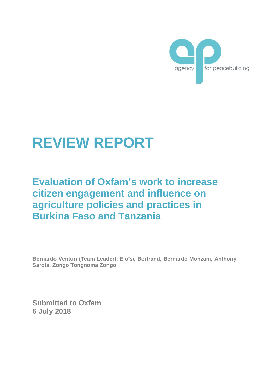

# **REVIEW REPORT**

# **Evaluation of Oxfam's work to increase citizen engagement and influence on agriculture policies and practices in Burkina Faso and Tanzania**

**Bernardo Venturi (Team Leader), Eloïse Bertrand, Bernardo Monzani, Anthony Sarota, Zongo Tongnoma Zongo**

**Submitted to Oxfam 6 July 2018**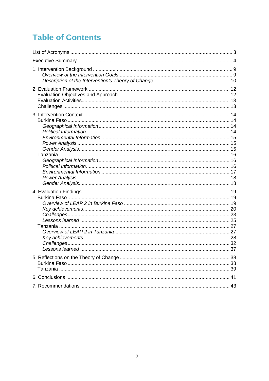# **Table of Contents**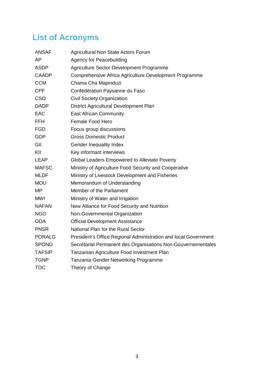# **List of Acronyms**

| <b>ANSAF</b>  | Agricultural Non State Actors Forum                             |
|---------------|-----------------------------------------------------------------|
| AP            | <b>Agency for Peacebuilding</b>                                 |
| <b>ASDP</b>   | Agriculture Sector Development Programme                        |
| <b>CAADP</b>  | Comprehensive Africa Agriculture Development Programme          |
| <b>CCM</b>    | Chama Cha Mapinduzi                                             |
| <b>CPF</b>    | Confédération Paysanne du Faso                                  |
| <b>CSO</b>    | <b>Civil Society Organization</b>                               |
| <b>DADP</b>   | District Agricultural Development Plan                          |
| <b>EAC</b>    | <b>East African Community</b>                                   |
| <b>FFH</b>    | Female Food Hero                                                |
| <b>FGD</b>    | Focus group discussions                                         |
| <b>GDP</b>    | <b>Gross Domestic Product</b>                                   |
| GII           | Gender Inequality Index                                         |
| KII           | Key informant interviews                                        |
| <b>LEAP</b>   | Global Leaders Empowered to Alleviate Poverty                   |
| <b>MAFSC</b>  | Ministry of Agriculture Food Security and Cooperative           |
| <b>MLDF</b>   | Ministry of Livestock Development and Fisheries                 |
| <b>MOU</b>    | Memorandum of Understanding                                     |
| MP            | Member of the Parliament                                        |
| <b>MWI</b>    | Ministry of Water and Irrigation                                |
| <b>NAFAN</b>  | New Alliance for Food Security and Nutrition                    |
| <b>NGO</b>    | Non-Governmental Organization                                   |
| <b>ODA</b>    | <b>Official Development Assistance</b>                          |
| <b>PNSR</b>   | National Plan for the Rural Sector                              |
| <b>PORALG</b> | President's Office Regional Administration and local Government |
| <b>SPONG</b>  | Secrétariat Permanent des Organisations Non-Gouvernementales    |
| <b>TAFSIP</b> | Tanzanian Agriculture Food Investment Plan                      |
| <b>TGNP</b>   | Tanzania Gender Networking Programme                            |
| <b>TOC</b>    | Theory of Change                                                |
|               |                                                                 |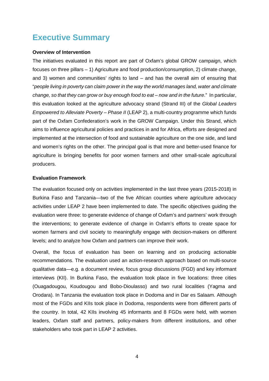# **Executive Summary**

### **Overview of Intervention**

The initiatives evaluated in this report are part of Oxfam's global GROW campaign, which focuses on three pillars – 1) Agriculture and food production/consumption, 2) climate change, and 3) women and communities' rights to land – and has the overall aim of ensuring that "*people living in poverty can claim power in the way the world manages land, water and climate change, so that they can grow or buy enough food to eat – now and in the future*." In particular, this evaluation looked at the agriculture advocacy strand (Strand III) of the *Global Leaders Empowered to Alleviate Poverty – Phase II* (LEAP 2), a multi-country programme which funds part of the Oxfam Confederation's work in the GROW Campaign. Under this Strand, which aims to influence agricultural policies and practices in and for Africa, efforts are designed and implemented at the intersection of food and sustainable agriculture on the one side, and land and women's rights on the other. The principal goal is that more and better-used finance for agriculture is bringing benefits for poor women farmers and other small-scale agricultural producers.

### **Evaluation Framework**

The evaluation focused only on activities implemented in the last three years (2015-2018) in Burkina Faso and Tanzania—two of the five African counties where agriculture advocacy activities under LEAP 2 have been implemented to date. The specific objectives guiding the evaluation were three: to generate evidence of change of Oxfam's and partners' work through the interventions; to generate evidence of change in Oxfam's efforts to create space for women farmers and civil society to meaningfully engage with decision-makers on different levels; and to analyze how Oxfam and partners can improve their work.

Overall, the focus of evaluation has been on learning and on producing actionable recommendations. The evaluation used an action-research approach based on multi-source qualitative data—e.g. a document review, focus group discussions (FGD) and key informant interviews (KII). In Burkina Faso, the evaluation took place in five locations: three cities (Ouagadougou, Koudougou and Bobo-Dioulasso) and two rural localities (Yagma and Orodara). In Tanzania the evaluation took place in Dodoma and in Dar es Salaam. Although most of the FGDs and KIIs took place in Dodoma, respondents were from different parts of the country. In total, 42 KIIs involving 45 informants and 8 FGDs were held, with women leaders, Oxfam staff and partners, policy-makers from different institutions, and other stakeholders who took part in LEAP 2 activities.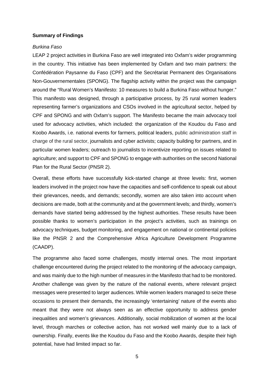### **Summary of Findings**

#### *Burkina Faso*

LEAP 2 project activities in Burkina Faso are well integrated into Oxfam's wider programming in the country. This initiative has been implemented by Oxfam and two main partners: the Confédération Paysanne du Faso (CPF) and the Secrétariat Permanent des Organisations Non-Gouvernementales (SPONG). The flagship activity within the project was the campaign around the "Rural Women's Manifesto: 10 measures to build a Burkina Faso without hunger." This manifesto was designed, through a participative process, by 25 rural women leaders representing farmer's organizations and CSOs involved in the agricultural sector, helped by CPF and SPONG and with Oxfam's support. The Manifesto became the main advocacy tool used for advocacy activities, which included: the organization of the Koudou du Faso and Koobo Awards, i.e. national events for farmers, political leaders, public administration staff in charge of the rural sector, journalists and cyber activists; capacity building for partners, and in particular women leaders; outreach to journalists to incentivize reporting on issues related to agriculture; and support to CPF and SPONG to engage with authorities on the second National Plan for the Rural Sector (PNSR 2).

Overall, these efforts have successfully kick-started change at three levels: first, women leaders involved in the project now have the capacities and self-confidence to speak out about their grievances, needs, and demands; secondly, women are also taken into account when decisions are made, both at the community and at the government levels; and thirdly, women's demands have started being addressed by the highest authorities. These results have been possible thanks to women's participation in the project's activities, such as trainings on advocacy techniques, budget monitoring, and engagement on national or continental policies like the PNSR 2 and the Comprehensive Africa Agriculture Development Programme (CAADP).

The programme also faced some challenges, mostly internal ones. The most important challenge encountered during the project related to the monitoring of the advocacy campaign, and was mainly due to the high number of measures in the Manifesto that had to be monitored. Another challenge was given by the nature of the national events, where relevant project messages were presented to larger audiences. While women leaders managed to seize these occasions to present their demands, the increasingly 'entertaining' nature of the events also meant that they were not always seen as an effective opportunity to address gender inequalities and women's grievances. Additionally, social mobilization of women at the local level, through marches or collective action, has not worked well mainly due to a lack of ownership. Finally, events like the Koudou du Faso and the Koobo Awards, despite their high potential, have had limited impact so far.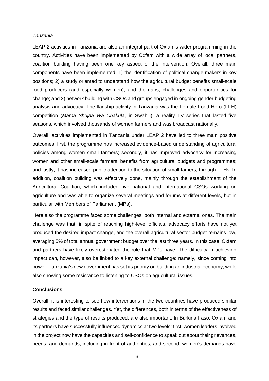#### *Tanzania*

LEAP 2 activities in Tanzania are also an integral part of Oxfam's wider programming in the country. Activities have been implemented by Oxfam with a wide array of local partners, coalition building having been one key aspect of the intervention. Overall, three main components have been implemented: 1) the identification of political change-makers in key positions; 2) a study oriented to understand how the agricultural budget benefits small-scale food producers (and especially women), and the gaps, challenges and opportunities for change; and 3) network building with CSOs and groups engaged in ongoing gender budgeting analysis and advocacy. The flagship activity in Tanzania was the Female Food Hero (FFH) competition (*Mama Shujaa Wa Chakula*, in Swahili), a reality TV series that lasted five seasons, which involved thousands of women farmers and was broadcast nationally.

Overall, activities implemented in Tanzania under LEAP 2 have led to three main positive outcomes: first, the programme has increased evidence-based understanding of agricultural policies among women small farmers; secondly, it has improved advocacy for increasing women and other small-scale farmers' benefits from agricultural budgets and programmes; and lastly, it has increased public attention to the situation of small famers, through FFHs. In addition, coalition building was effectively done, mainly through the establishment of the Agricultural Coalition, which included five national and international CSOs working on agriculture and was able to organize several meetings and forums at different levels, but in particular with Members of Parliament (MPs).

Here also the programme faced some challenges, both internal and external ones. The main challenge was that, in spite of reaching high-level officials, advocacy efforts have not yet produced the desired impact change, and the overall agricultural sector budget remains low, averaging 5% of total annual government budget over the last three years. In this case, Oxfam and partners have likely overestimated the role that MPs have. The difficulty in achieving impact can, however, also be linked to a key external challenge: namely, since coming into power, Tanzania's new government has set its priority on building an industrial economy, while also showing some resistance to listening to CSOs on agricultural issues.

### **Conclusions**

Overall, it is interesting to see how interventions in the two countries have produced similar results and faced similar challenges. Yet, the differences, both in terms of the effectiveness of strategies and the type of results produced, are also important. In Burkina Faso, Oxfam and its partners have successfully influenced dynamics at two levels: first, women leaders involved in the project now have the capacities and self-confidence to speak out about their grievances, needs, and demands, including in front of authorities; and second, women's demands have

6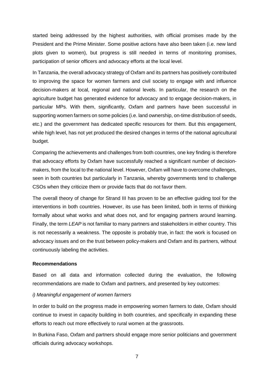started being addressed by the highest authorities, with official promises made by the President and the Prime Minister. Some positive actions have also been taken (i.e. new land plots given to women), but progress is still needed in terms of monitoring promises, participation of senior officers and advocacy efforts at the local level.

In Tanzania, the overall advocacy strategy of Oxfam and its partners has positively contributed to improving the space for women farmers and civil society to engage with and influence decision-makers at local, regional and national levels. In particular, the research on the agriculture budget has generated evidence for advocacy and to engage decision-makers, in particular MPs. With them, significantly, Oxfam and partners have been successful in supporting women farmers on some policies (i.e. land ownership, on-time distribution of seeds, etc.) and the government has dedicated specific resources for them. But this engagement, while high level, has not yet produced the desired changes in terms of the national agricultural budget.

Comparing the achievements and challenges from both countries, one key finding is therefore that advocacy efforts by Oxfam have successfully reached a significant number of decision makers, from the local to the national level. However, Oxfam will have to overcome challenges, seen in both countries but particularly in Tanzania, whereby governments tend to challenge CSOs when they criticize them or provide facts that do not favor them.

The overall theory of change for Strand III has proven to be an effective guiding tool for the interventions in both countries. However, its use has been limited, both in terms of thinking formally about what works and what does not, and for engaging partners around learning. Finally, the term *LEAP* is not familiar to many partners and stakeholders in either country. This is not necessarily a weakness. The opposite is probably true, in fact: the work is focused on advocacy issues and on the trust between policy-makers and Oxfam and its partners, without continuously labeling the activities.

### **Recommendations**

Based on all data and information collected during the evaluation, the following recommendations are made to Oxfam and partners, and presented by key outcomes:

### *i) Meaningful engagement of women farmers*

In order to build on the progress made in empowering women farmers to date, Oxfam should continue to invest in capacity building in both countries, and specifically in expanding these efforts to reach out more effectively to rural women at the grassroots.

In Burkina Faso, Oxfam and partners should engage more senior politicians and government officials during advocacy workshops.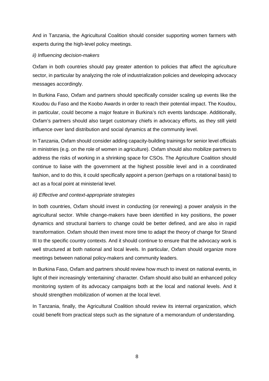And in Tanzania, the Agricultural Coalition should consider supporting women farmers with experts during the high-level policy meetings.

# *ii) Influencing decision-makers*

Oxfam in both countries should pay greater attention to policies that affect the agriculture sector, in particular by analyzing the role of industrialization policies and developing advocacy messages accordingly.

In Burkina Faso, Oxfam and partners should specifically consider scaling up events like the Koudou du Faso and the Koobo Awards in order to reach their potential impact. The Koudou, in particular, could become a major feature in Burkina's rich events landscape. Additionally, Oxfam's partners should also target customary chiefs in advocacy efforts, as they still yield influence over land distribution and social dynamics at the community level.

In Tanzania, Oxfam should consider adding capacity-building trainings for senior level officials in ministries (e.g. on the role of women in agriculture). Oxfam should also mobilize partners to address the risks of working in a shrinking space for CSOs. The Agriculture Coalition should continue to liaise with the government at the highest possible level and in a coordinated fashion, and to do this, it could specifically appoint a person (perhaps on a rotational basis) to act as a focal point at ministerial level.

# *iii) Effective and context-appropriate strategies*

In both countries, Oxfam should invest in conducting (or renewing) a power analysis in the agricultural sector. While change-makers have been identified in key positions, the power dynamics and structural barriers to change could be better defined, and are also in rapid transformation. Oxfam should then invest more time to adapt the theory of change for Strand III to the specific country contexts. And it should continue to ensure that the advocacy work is well structured at both national and local levels. In particular, Oxfam should organize more meetings between national policy-makers and community leaders.

In Burkina Faso, Oxfam and partners should review how much to invest on national events, in light of their increasingly 'entertaining' character. Oxfam should also build an enhanced policy monitoring system of its advocacy campaigns both at the local and national levels. And it should strengthen mobilization of women at the local level.

In Tanzania, finally, the Agricultural Coalition should review its internal organization, which could benefit from practical steps such as the signature of a memorandum of understanding.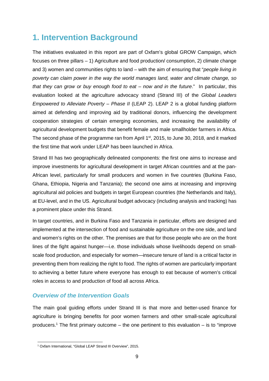# **1. Intervention Background**

The initiatives evaluated in this report are part of Oxfam's global GROW Campaign, which focuses on three pillars – 1) Agriculture and food production/ consumption, 2) climate change and 3) women and communities rights to land – with the aim of ensuring that "*people living in poverty can claim power in the way the world manages land, water and climate change, so that they can grow or buy enough food to eat – now and in the future*." In particular, this evaluation looked at the agriculture advocacy strand (Strand III) of the *Global Leaders Empowered to Alleviate Poverty – Phase II* (LEAP 2). LEAP 2 is a global funding platform aimed at defending and improving aid by traditional donors, influencing the development cooperation strategies of certain emerging economies, and increasing the availability of agricultural development budgets that benefit female and male smallholder farmers in Africa. The second phase of the programme ran from April 1<sup>st</sup>, 2015, to June 30, 2018, and it marked the first time that work under LEAP has been launched in Africa.

Strand III has two geographically delineated components: the first one aims to increase and improve investments for agricultural development in target African countries and at the pan- African level, particularly for small producers and women in five countries (Burkina Faso, Ghana, Ethiopia, Nigeria and Tanzania); the second one aims at increasing and improving agricultural aid policies and budgets in target European countries (the Netherlands and Italy), at EU-level, and in the US. Agricultural budget advocacy (including analysis and tracking) has a prominent place under this Strand.

In target countries, and in Burkina Faso and Tanzania in particular, efforts are designed and implemented at the intersection of food and sustainable agriculture on the one side, and land and women's rights on the other. The premises are that for those people who are on the front lines of the fight against hunger—i.e. those individuals whose livelihoods depend on small scale food production, and especially for women—insecure tenure of land is a critical factor in preventing them from realizing the right to food. The rights of women are particularly important to achieving a better future where everyone has enough to eat because of women's critical roles in access to and production of food all across Africa.

# *Overview of the Intervention Goals*

The main goal guiding efforts under Strand III is that more and better-used finance for agriculture is bringing benefits for poor women farmers and other small-scale agricultural producers.<sup>1</sup> The first primary outcome – the one pertinent to this evaluation – is to "improve

<sup>1</sup> Oxfam International, "Global LEAP Strand III Overview", 2015.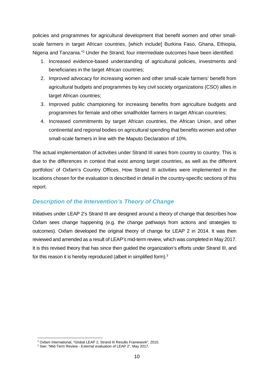policies and programmes for agricultural development that benefit women and other small scale farmers in target African countries, [which include] Burkina Faso, Ghana, Ethiopia, Nigeria and Tanzania."<sup>2</sup> Under the Strand, four intermediate outcomes have been identified:

- 1. Increased evidence-based understanding of agricultural policies, investments and beneficiaries in the target African countries;
- 2. Improved advocacy for increasing women and other small-scale farmers' benefit from agricultural budgets and programmes by key civil society organizations (CSO) allies in target African countries;
- 3. Improved public championing for increasing benefits from agriculture budgets and programmes for female and other smallholder farmers in target African countries;
- 4. Increased commitments by target African countries, the African Union, and other continental and regional bodies on agricultural spending that benefits women and other small-scale farmers in line with the Maputo Declaration of 10%.

The actual implementation of activities under Strand III varies from country to country. This is due to the differences in context that exist among target countries, as well as the different portfolios' of Oxfam's Country Offices. How Strand III activities were implemented in the locations chosen for the evaluation is described in detail in the country-specific sections of this report.

# *Description of the Intervention's Theory of Change*

Initiatives under LEAP 2's Strand III are designed around a theory of change that describes how Oxfam sees change happening (e.g. the change pathways from actions and strategies to outcomes). Oxfam developed the original theory of change for LEAP 2 in 2014. It was then reviewed and amended as a result of LEAP's mid-term review, which was completed in May 2017. It is this revised theory that has since then guided the organization's efforts under Strand III, and for this reason it is hereby reproduced (albeit in simplified form).<sup>3</sup>

<sup>2</sup> Oxfam International, "Global LEAP 2, Strand III Results Framework", 2015.

<sup>3</sup> See: "Mid-Term Review - External evaluation of LEAP 2", May 2017.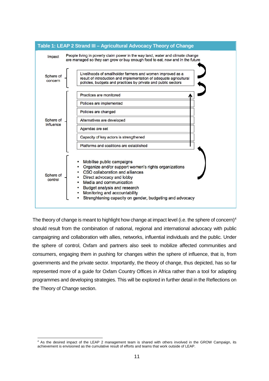

The theory of change is meant to highlight how change at impact level (i.e. the sphere of concern)<sup>4</sup> should result from the combination of national, regional and international advocacy with public campaigning and collaboration with allies, networks, influential individuals and the public. Under the sphere of control, Oxfam and partners also seek to mobilize affected communities and consumers, engaging them in pushing for changes within the sphere of influence, that is, from governments and the private sector. Importantly, the theory of change, thus depicted, has so far represented more of a guide for Oxfam Country Offices in Africa rather than a tool for adapting programmes and developing strategies. This will be explored in further detail in the Reflections on the Theory of Change section.

<sup>&</sup>lt;sup>4</sup> As the desired impact of the LEAP 2 management team is shared with others involved in the GROW Campaign, its achievement is envisioned as the cumulative result of efforts and teams that work outside of LEAP.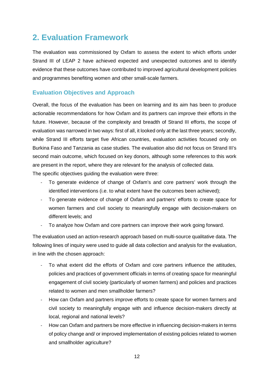# **2. Evaluation Framework**

The evaluation was commissioned by Oxfam to assess the extent to which efforts under Strand III of LEAP 2 have achieved expected and unexpected outcomes and to identify evidence that these outcomes have contributed to improved agricultural development policies and programmes benefiting women and other small-scale farmers.

# **Evaluation Objectives and Approach**

Overall, the focus of the evaluation has been on learning and its aim has been to produce actionable recommendations for how Oxfam and its partners can improve their efforts in the future. However, because of the complexity and breadth of Strand III efforts, the scope of evaluation was narrowed in two ways: first of all, it looked only at the last three years; secondly, while Strand III efforts target five African countries, evaluation activities focused only on Burkina Faso and Tanzania as case studies. The evaluation also did not focus on Strand III's second main outcome, which focused on key donors, although some references to this work are present in the report, where they are relevant for the analysis of collected data.

The specific objectives guiding the evaluation were three:

- To generate evidence of change of Oxfam's and core partners' work through the identified interventions (i.e. to what extent have the outcomes been achieved);
- To generate evidence of change of Oxfam and partners' efforts to create space for women farmers and civil society to meaningfully engage with decision-makers on different levels; and
- To analyze how Oxfam and core partners can improve their work going forward.

The evaluation used an action-research approach based on multi-source qualitative data. The following lines of inquiry were used to guide all data collection and analysis for the evaluation, in line with the chosen approach:

- To what extent did the efforts of Oxfam and core partners influence the attitudes, policies and practices of government officials in terms of creating space for meaningful engagement of civil society (particularly of women farmers) and policies and practices related to women and men smallholder farmers?
- How can Oxfam and partners improve efforts to create space for women farmers and civil society to meaningfully engage with and influence decision-makers directly at local, regional and national levels?
- How can Oxfam and partners be more effective in influencing decision-makers in terms of policy change and/ or improved implementation of existing policies related to women and smallholder agriculture?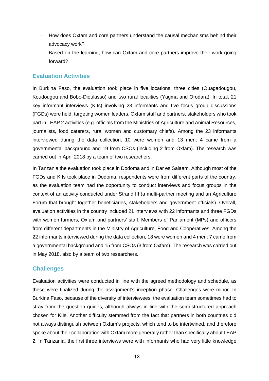- How does Oxfam and core partners understand the causal mechanisms behind their advocacy work?
- Based on the learning, how can Oxfam and core partners improve their work going forward?

# **Evaluation Activities**

In Burkina Faso, the evaluation took place in five locations: three cities (Ouagadougou, Koudougou and Bobo-Dioulasso) and two rural localities (Yagma and Orodara). In total, 21 key informant interviews (KIIs) involving 23 informants and five focus group discussions (FGDs) were held, targeting women leaders, Oxfam staff and partners, stakeholders who took part in LEAP 2 activities (e.g. officials from the Ministries of Agriculture and Animal Resources, journalists, food caterers, rural women and customary chiefs). Among the 23 informants interviewed during the data collection, 10 were women and 13 men; 4 came from a governmental background and 19 from CSOs (including 2 from Oxfam). The research was carried out in April 2018 by a team of two researchers.

In Tanzania the evaluation took place in Dodoma and in Dar es Salaam. Although most of the FGDs and KIIs took place in Dodoma, respondents were from different parts of the country, as the evaluation team had the opportunity to conduct interviews and focus groups in the context of an activity conducted under Strand III (a multi-partner meeting and an Agriculture Forum that brought together beneficiaries, stakeholders and government officials). Overall, evaluation activities in the country included 21 interviews with 22 informants and three FGDs with women farmers, Oxfam and partners' staff, Members of Parliament (MPs) and officers from different departments in the Ministry of Agriculture, Food and Cooperatives. Among the 22 informants interviewed during the data collection, 18 were women and 4 men; 7 came from a governmental background and 15 from CSOs (3 from Oxfam). The research was carried out in May 2018, also by a team of two researchers.

# **Challenges**

Evaluation activities were conducted in line with the agreed methodology and schedule, as these were finalized during the assignment's inception phase. Challenges were minor. In Burkina Faso, because of the diversity of interviewees, the evaluation team sometimes had to stray from the question guides, although always in line with the semi-structured approach chosen for KIIs. Another difficulty stemmed from the fact that partners in both countries did not always distinguish between Oxfam's projects, which tend to be intertwined, and therefore spoke about their collaboration with Oxfam more generally rather than specifically about LEAP 2. In Tanzania, the first three interviews were with informants who had very little knowledge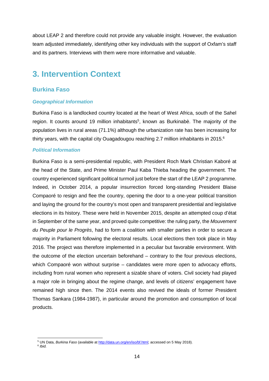about LEAP 2 and therefore could not provide any valuable insight. However, the evaluation team adjusted immediately, identifying other key individuals with the support of Oxfam's staff and its partners. Interviews with them were more informative and valuable.

# **3. Intervention Context**

# **Burkina Faso**

### *Geographical Information*

Burkina Faso is a landlocked country located at the heart of West Africa, south of the Sahel region. It counts around 19 million inhabitants<sup>5</sup>, known as Burkinabè. The majority of the population lives in rural areas (71.1%) although the urbanization rate has been increasing for thirty years, with the capital city Ouagadougou reaching 2.7 million inhabitants in 2015.<sup>6</sup>

### *Political Information*

Burkina Faso is a semi-presidential republic, with President Roch Mark Christian Kaboré at the head of the State, and Prime Minister Paul Kaba Thieba heading the government. The country experienced significant political turmoil just before the start of the LEAP 2 programme. Indeed, in October 2014, a popular insurrection forced long-standing President Blaise Compaoré to resign and flee the country, opening the door to a one-year political transition and laying the ground for the country's most open and transparent presidential and legislative elections in its history. These were held in November 2015, despite an attempted coup d'état in September of the same year, and proved quite competitive: the ruling party, the *Mouvement du Peuple pour le Progrès*, had to form a coalition with smaller parties in order to secure a majority in Parliament following the electoral results. Local elections then took place in May 2016. The project was therefore implemented in a peculiar but favorable environment. With the outcome of the election uncertain beforehand – contrary to the four previous elections, which Compaoré won without surprise – candidates were more open to advocacy efforts, including from rural women who represent a sizable share of voters. Civil society had played a major role in bringing about the regime change, and levels of citizens' engagement have remained high since then. The 2014 events also revived the ideals of former President Thomas Sankara (1984-1987), in particular around the promotion and consumption of local products.

<sup>5</sup> UN Data, *Burkina Faso* (available at <http://data.un.org/en/iso/bf.html>; accessed on 5 May 2018).

<sup>6</sup> *Ibid.*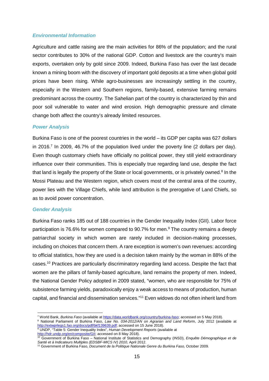### *Environmental Information*

Agriculture and cattle raising are the main activities for 86% of the population; and the rural sector contributes to 30% of the national GDP. Cotton and livestock are the country's main exports, overtaken only by gold since 2009. Indeed, Burkina Faso has over the last decade known a mining boom with the discovery of important gold deposits at a time when global gold prices have been rising. While agro-businesses are increasingly settling in the country, especially in the Western and Southern regions, family-based, extensive farming remains predominant across the country. The Sahelian part of the country is characterized by thin and poor soil vulnerable to water and wind erosion. High demographic pressure and climate change both affect the country's already limited resources.

#### *Power Analysis*

Burkina Faso is one of the poorest countries in the world – its GDP per capita was 627 dollars in 2016.<sup>7</sup> In 2009, 46.7% of the population lived under the poverty line (2 dollars per day). Even though customary chiefs have officially no political power, they still yield extraordinary influence over their communities. This is especially true regarding land use, despite the fact that land is legally the property of the State or local governments, or is privately owned.<sup>8</sup> In the Mossi Plateau and the Western region, which covers most of the central area of the country, power lies with the Village Chiefs, while land attribution is the prerogative of Land Chiefs, so as to avoid power concentration.

#### *Gender Analysis*

Burkina Faso ranks 185 out of 188 countries in the Gender Inequality Index (GII). Labor force participation is 76.6% for women compared to 90.7% for men.<sup>9</sup> The country remains a deeply patriarchal society in which women are rarely included in decision-making processes, including on choices that concern them. A rare exception is women's own revenues: according to official statistics, how they are used is a decision taken mainly by the woman in 88% of the cases.<sup>10</sup> Practices are particularly discriminatory regarding land access. Despite the fact that women are the pillars of family-based agriculture, land remains the property of men. Indeed, the National Gender Policy adopted in 2009 stated, "women, who are responsible for 75% of subsistence farming yields, paradoxically enjoy a weak access to means of production, human capital, and financial and dissemination services."<sup>11</sup> Even widows do not often inherit land from

<sup>7</sup> World Bank, *Burkina Faso* (available at https://data.worldbank.org/country/burkina-faso; accessed on 5 May 2018).

<sup>8</sup> National Parliament of Burkina Faso, *Law No. 034-2012/AN on Agrarian and Land Refor*m, July 2012 (available at <http://extwprlegs1.fao.org/docs/pdf/bkf139639.pdf>; accessed on 15 June 2018). <sup>9</sup> UNDP, "Table 5: Gender Inequality Index", *Human Development Reports* (available at

<http://hdr.undp.org/en/composite/GII>; accessed on 8 May 2018).

<sup>10</sup> Government of Burkina Faso – National Institute of Statistics and Demography (INSD), *Enquête Démographique et de Santé et à Indicateurs Multiples (EDSBF-MICS IV) 2010*, April 2012.

<sup>11</sup> Government of Burkina Faso, *Document de la Politique Nationale Genre du Burkina Faso,* October 2009.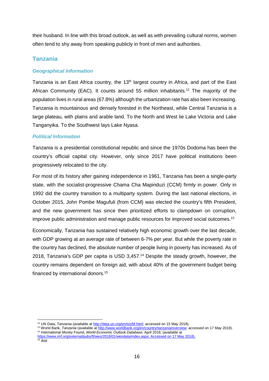their husband. In line with this broad outlook, as well as with prevailing cultural norms, women often tend to shy away from speaking publicly in front of men and authorities.

# **Tanzania**

# *Geographical Information*

Tanzania is an East Africa country, the 13<sup>th</sup> largest country in Africa, and part of the East African Community (EAC). It counts around 55 million inhabitants.<sup>12</sup> The majority of the population lives in rural areas (67.8%) although the urbanization rate has also been increasing. Tanzania is mountainous and densely forested in the Northeast, while Central Tanzania is a large plateau, with plains and arable land. To the North and West lie Lake Victoria and Lake Tanganyika. To the Southwest lays Lake Nyasa.

# *Political Information*

Tanzania is a presidential constitutional republic and since the 1970s Dodoma has been the country's official capital city. However, only since 2017 have political institutions been progressively relocated to the city.

For most of its history after gaining independence in 1961, Tanzania has been a single-party state, with the socialist-progressive Chama Cha Mapinduzi (CCM) firmly in power. Only in 1992 did the country transition to a multiparty system. During the last national elections, in October 2015, John Pombe Magufuli (from CCM) was elected the country's fifth President, and the new government has since then prioritized efforts to clampdown on corruption, improve public administration and manage public resources for improved social outcomes.<sup>13</sup>

Economically, Tanzania has sustained relatively high economic growth over the last decade, with GDP growing at an average rate of between 6-7% per year. But while the poverty rate in the country has declined, the absolute number of people living in poverty has increased. As of 2018, Tanzania's GDP per capita is USD 3,457.<sup>14</sup> Despite the steady growth, however, the country remains dependent on foreign aid, with about 40% of the government budget being financed by international donors.<sup>15</sup>

<sup>&</sup>lt;sup>12</sup> UN Data, *Tanzania* (available at [http://data.un.org/en/iso/bf.html;](http://data.un.org/en/iso/bf.html) accessed on 15 May 2018).

<sup>13</sup> World Bank, *Tanzania* (available at [http://www.worldbank.org/en/country/tanzania/overview;](http://www.worldbank.org/en/country/tanzania/overview) accessed on 17 May 2018). <sup>14</sup> International Money Found, *World Economic Outlook Database*, April 2018, (available at

https:/[/www.imf.org/external/pubs/ft/weo/2018/01/weodata/index.aspx;](www.imf.org/external/pubs/ft/weo/2018/01/weodata/index.aspx) Accessed on 17 May 2018). <sup>15</sup> *Ibid.*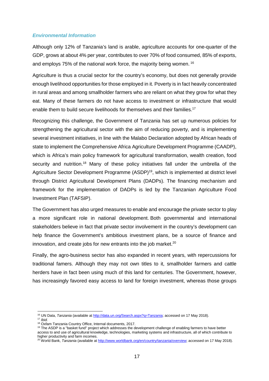### *Environmental Information*

Although only 12% of Tanzania's land is arable, agriculture accounts for one-quarter of the GDP, grows at about 4% per year, contributes to over 70% of food consumed, 85% of exports, and employs 75% of the national work force, the majority being women. <sup>16</sup>

Agriculture is thus a crucial sector for the country's economy, but does not generally provide enough livelihood opportunities for those employed in it. Poverty is in fact heavily concentrated in rural areas and among smallholder farmers who are reliant on what they grow for what they eat. Many of these farmers do not have access to investment or infrastructure that would enable them to build secure livelihoods for themselves and their families.<sup>17</sup>

Recognizing this challenge, the Government of Tanzania has set up numerous policies for strengthening the agricultural sector with the aim of reducing poverty, and is implementing several investment initiatives, in line with the Malabo Declaration adopted by African heads of state to implement the Comprehensive Africa Agriculture Development Programme (CAADP), which is Africa's main policy framework for agricultural transformation, wealth creation, food security and nutrition.<sup>18</sup> Many of these policy initiatives fall under the umbrella of the Agriculture Sector Development Programme (ASDP)<sup>19</sup>, which is implemented at district level through District Agricultural Development Plans (DADPs). The financing mechanism and framework for the implementation of DADPs is led by the Tanzanian Agriculture Food Investment Plan (TAFSIP).

The Government has also urged measures to enable and encourage the private sector to play a more significant role in national development. Both governmental and international stakeholders believe in fact that private sector involvement in the country's development can help finance the Government's ambitious investment plans, be a source of finance and innovation, and create jobs for new entrants into the job market. $20$ 

Finally, the agro-business sector has also expanded in recent years, with repercussions for traditional famers. Although they may not own titles to it, smallholder farmers and cattle herders have in fact been using much of this land for centuries. The Government, however, has increasingly favored easy access to land for foreign investment, whereas those groups

<sup>17</sup> *Ibid.*

<sup>16</sup> UN Data, *Tanzania* (available at [http://data.un.org/Search.aspx?](http://data.un.org/Search.aspx)q=Tanzania; accessed on 17 May 2018).

<sup>18</sup> Oxfam Tanzania Country Office, Internal documents, 2017.

<sup>&</sup>lt;sup>19</sup> The ASDP is a "basket fund" project which addresses the development challenge of enabling farmers to have better access to and use of agricultural knowledge, technologies, marketing systems and infrastructure, all of which contribute to higher productivity and farm incomes.

<sup>20</sup> World Bank, *Tanzania* (available at [http://www.worldbank.org/en/country/tanzania/overview;](http://www.worldbank.org/en/country/tanzania/overview) accessed on 17 May 2018).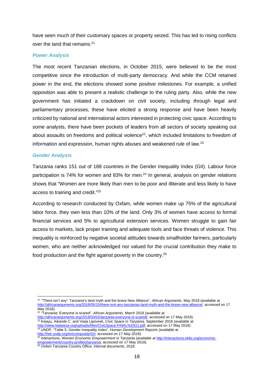have seen much of their customary spaces or property seized. This has led to rising conflicts over the land that remains.<sup>21</sup>

### *Power Analysis*

The most recent Tanzanian elections, in October 2015, were believed to be the most competitive since the introduction of multi-party democracy. And while the CCM retained power in the end, the elections showed some positive milestones. For example, a unified opposition was able to present a realistic challenge to the ruling party. Also, while the new government has initiated a crackdown on civil society, including through legal and parliamentary processes, these have elicited a strong response and have been heavily criticized by national and international actors interested in protecting civic space. According to some analysts, there have been pockets of leaders from all sectors of society speaking out about assaults on freedoms and political violence<sup>22</sup>, which included limitations to freedom of information and expression, human rights abuses and weakened rule of law.<sup>23</sup>

### *Gender Analysis*

Tanzania ranks 151 out of 188 countries in the Gender Inequality Index (GII). Labour force participation is 74% for women and 83% for men.<sup>24</sup> In general, analysis on gender relations shows that "Women are more likely than men to be poor and illiterate and less likely to have access to training and credit."<sup>25</sup>

According to research conducted by Oxfam, while women make up 75% of the agricultural labor force, they own less than 10% of the land. Only 3% of women have access to formal financial services and 5% to agricultural extension services. Women struggle to gain fair access to markets, lack proper training and adequate tools and face threats of violence. This inequality is reinforced by negative societal attitudes towards smallholder farmers, particularly women, who are neither acknowledged nor valued for the crucial contribution they make to food production and the fight against poverty in the country.<sup>26</sup>

<http://hdr.undp.org/en/composite/GII>; accessed on 17 May 2018). <sup>25</sup> Interactions, *Women Economic Empowerment in Tanzania* (available at <http://interactions.eldis.org/economic->

<sup>21</sup> "'There isn't any': Tanzania's land myth and the brave New Alliance", *African Arguments*, May 2018 (available at [http://africanarguments.org/2018/05/15/there-isnt-any-tanzanias-land-myth-and-the-brave-new-alliance/;](http://africanarguments.org/2018/05/15/there-isnt-any-tanzanias-land-myth-and-the-brave-new-alliance/) accessed on 17 May 2018).

<sup>22</sup> "Tanzania: Everyone is scared", *African Arguments*, March 2018 (available at <http://africanarguments.org/2018/03/02/tanzania-everyone-is-scared/>; accessed on 17 May 2018). <sup>23</sup> Kwayu, Aikande C. and Varja Lipovsek, *Civic Space in Tanzania*, September 2016 (available at [http://www.twaweza.org/uploads/files/CivicSpace-FINAL%20\(](http://www.twaweza.org/uploads/files/CivicSpace-FINAL%20)1).pdf; accessed on 17 May 2018). <sup>24</sup> UNDP, "Table 5: Gender Inequality Index", *Human Development Reports* (available at

empowerment/country-profiles/tanzania; accessed on 17 May 2018).

<sup>26</sup> Oxfam Tanzania Country Office, *Internal documents*, 2018.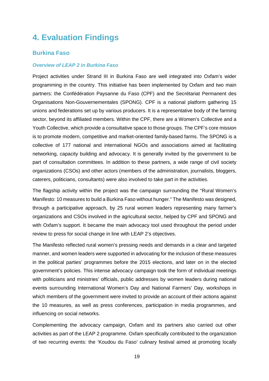# **4. Evaluation Findings**

# **Burkina Faso**

### *Overview of LEAP 2 in Burkina Faso*

Project activities under Strand III in Burkina Faso are well integrated into Oxfam's wider programming in the country. This initiative has been implemented by Oxfam and two main partners: the Confédération Paysanne du Faso (CPF) and the Secrétariat Permanent des Organisations Non-Gouvernementales (SPONG). CPF is a national platform gathering 15 unions and federations set up by various producers. It is a representative body of the farming sector, beyond its affiliated members. Within the CPF, there are a Women's Collective and a Youth Collective, which provide a consultative space to those groups. The CPF's core mission is to promote modern, competitive and market-oriented family-based farms. The SPONG is a collective of 177 national and international NGOs and associations aimed at facilitating networking, capacity building and advocacy. It is generally invited by the government to be part of consultation committees. In addition to these partners, a wide range of civil society organizations (CSOs) and other actors (members of the administration, journalists, bloggers, caterers, politicians, consultants) were also involved to take part in the activities.

The flagship activity within the project was the campaign surrounding the "Rural Women's Manifesto: 10 measures to build a Burkina Faso without hunger." The Manifesto was designed, through a participative approach, by 25 rural women leaders representing many farmer's organizations and CSOs involved in the agricultural sector, helped by CPF and SPONG and with Oxfam's support. It became the main advocacy tool used throughout the period under review to press for social change in line with LEAP 2's objectives.

The Manifesto reflected rural women's pressing needs and demands in a clear and targeted manner, and women leaders were supported in advocating for the inclusion of these measures in the political parties' programmes before the 2015 elections, and later on in the elected government's policies. This intense advocacy campaign took the form of individual meetings with politicians and ministries' officials, public addresses by women leaders during national events surrounding International Women's Day and National Farmers' Day, workshops in which members of the government were invited to provide an account of their actions against the 10 measures, as well as press conferences, participation in media programmes, and influencing on social networks.

Complementing the advocacy campaign, Oxfam and its partners also carried out other activities as part of the LEAP 2 programme. Oxfam specifically contributed to the organization of two recurring events: the 'Koudou du Faso' culinary festival aimed at promoting locally

19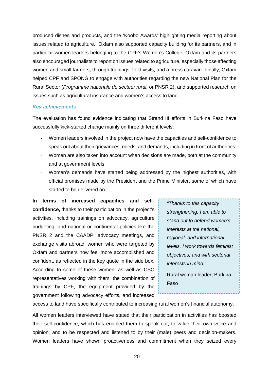produced dishes and products, and the 'Koobo Awards' highlighting media reporting about issues related to agriculture. Oxfam also supported capacity building for its partners, and in particular women leaders belonging to the CPF's Women's College. Oxfam and its partners also encouraged journalists to report on issues related to agriculture, especially those affecting women and small farmers, through trainings, field visits, and a press caravan. Finally, Oxfam helped CPF and SPONG to engage with authorities regarding the new National Plan for the Rural Sector (*Programme nationale du secteur rural,* or PNSR 2), and supported research on issues such as agricultural insurance and women's access to land.

#### *Key achievements*

The evaluation has found evidence indicating that Strand III efforts in Burkina Faso have successfully kick-started change mainly on three different levels:

- Women leaders involved in the project now have the capacities and self-confidence to speak out about their grievances, needs, and demands, including in front of authorities.
- Women are also taken into account when decisions are made, both at the community and at government levels.
- Women's demands have started being addressed by the highest authorities, with official promises made by the President and the Prime Minister, some of which have started to be delivered on.

**In terms of increased capacities and self confidence,** thanks to their participation in the project's activities, including trainings on advocacy, agriculture budgeting, and national or continental policies like the PNSR 2 and the CAADP, advocacy meetings, and exchange visits abroad, women who were targeted by Oxfam and partners now feel more accomplished and confident, as reflected in the key quote in the side box. According to some of these women, as well as CSO representatives working with them, the combination of trainings by CPF, the equipment provided by the government following advocacy efforts, and increased

*"Thanks to this capacity strengthening, I am able to stand out to defend women's interests at the national, regional, and international levels. I work towards feminist objectives, and with sectorial interests in mind."*

Rural woman leader, Burkina Faso

access to land have specifically contributed to increasing rural women's financial autonomy.

All women leaders interviewed have stated that their participation in activities has boosted their self-confidence, which has enabled them to speak out, to value their own voice and opinion, and to be respected and listened to by their (male) peers and decision-makers. Women leaders have shown proactiveness and commitment when they seized every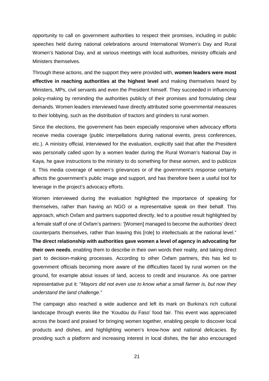opportunity to call on government authorities to respect their promises, including in public speeches held during national celebrations around International Women's Day and Rural Women's National Day, and at various meetings with local authorities, ministry officials and Ministers themselves.

Through these actions, and the support they were provided with, **women leaders were most effective in reaching authorities at the highest level** and making themselves heard by Ministers, MPs, civil servants and even the President himself. They succeeded in influencing policy-making by reminding the authorities publicly of their promises and formulating clear demands. Women leaders interviewed have directly attributed some governmental measures to their lobbying, such as the distribution of tractors and grinders to rural women.

Since the elections, the government has been especially responsive when advocacy efforts receive media coverage (public interpellations during national events, press conferences, etc.). A ministry official, interviewed for the evaluation, explicitly said that after the President was personally called upon by a women leader during the Rural Woman's National Day in Kaya, he gave instructions to the ministry to do something for these women, and to publicize it. This media coverage of women's grievances or of the government's response certainly affects the government's public image and support, and has therefore been a useful tool for leverage in the project's advocacy efforts.

Women interviewed during the evaluation highlighted the importance of speaking for themselves, rather than having an NGO or a representative speak on their behalf. This approach, which Oxfam and partners supported directly, led to a positive result highlighted by a female staff of one of Oxfam's partners: '[Women] managed to become the authorities' direct counterparts themselves, rather than leaving this [role] to intellectuals at the national level." **The direct relationship with authorities gave women a level of agency in advocating for their own needs**, enabling them to describe in their own words their reality, and taking direct part to decision-making processes. According to other Oxfam partners, this has led to government officials becoming more aware of the difficulties faced by rural women on the ground, for example about issues of land, access to credit and insurance. As one partner representative put it: "*Mayors did not even use to know what a small farmer is, but now they understand the land challenge.*"

The campaign also reached a wide audience and left its mark on Burkina's rich cultural landscape through events like the 'Koudou du Faso' food fair. This event was appreciated across the board and praised for bringing women together, enabling people to discover local products and dishes, and highlighting women's know-how and national delicacies. By providing such a platform and increasing interest in local dishes, the fair also encouraged

21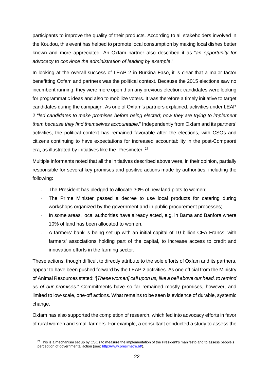participants to improve the quality of their products. According to all stakeholders involved in the Koudou, this event has helped to promote local consumption by making local dishes better known and more appreciated. An Oxfam partner also described it as "*an opportunity for advocacy to convince the administration of leading by example*."

In looking at the overall success of LEAP 2 in Burkina Faso, it is clear that a major factor benefitting Oxfam and partners was the political context. Because the 2015 elections saw no incumbent running, they were more open than any previous election: candidates were looking for programmatic ideas and also to mobilize voters. It was therefore a timely initiative to target candidates during the campaign. As one of Oxfam's partners explained, activities under LEAP 2 "*led candidates to make promises before being elected; now they are trying to implement them because they find themselves accountable*." Independently from Oxfam and its partners' activities, the political context has remained favorable after the elections, with CSOs and citizens continuing to have expectations for increased accountability in the post-Compaoré era, as illustrated by initiatives like the 'Presimeter'.<sup>27</sup>

Multiple informants noted that all the initiatives described above were, in their opinion, partially responsible for several key promises and positive actions made by authorities, including the following:

- The President has pledged to allocate 30% of new land plots to women;
- The Prime Minister passed a decree to use local products for catering during workshops organized by the government and in public procurement processes;
- In some areas, local authorities have already acted, e.g. in Bama and Banfora where 10% of land has been allocated to women.
- A farmers' bank is being set up with an initial capital of 10 billion CFA Francs, with farmers' associations holding part of the capital, to increase access to credit and innovation efforts in the farming sector.

These actions, though difficult to directly attribute to the sole efforts of Oxfam and its partners, appear to have been pushed forward by the LEAP 2 activities. As one official from the Ministry of Animal Resources stated: '[*These women] call upon us, like a bell above our head, to remind us of our promises*." Commitments have so far remained mostly promises, however, and limited to low-scale, one-off actions. What remains to be seen is evidence of durable, systemic change.

Oxfam has also supported the completion of research, which fed into advocacy efforts in favor of rural women and small farmers. For example, a consultant conducted a study to assess the

<sup>&</sup>lt;sup>27</sup> This is a mechanism set up by CSOs to measure the implementation of the President's manifesto and to assess people's perception of governmental action (see: http://www.presimetre.bf/).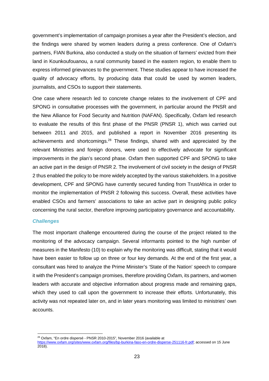government's implementation of campaign promises a year after the President's election, and the findings were shared by women leaders during a press conference. One of Oxfam's partners, FIAN Burkina, also conducted a study on the situation of farmers' evicted from their land in Kounkoufouanou, a rural community based in the eastern region, to enable them to express informed grievances to the government. These studies appear to have increased the quality of advocacy efforts, by producing data that could be used by women leaders, journalists, and CSOs to support their statements.

One case where research led to concrete change relates to the involvement of CPF and SPONG in consultative processes with the government, in particular around the PNSR and the New Alliance for Food Security and Nutrition (NAFAN). Specifically, Oxfam led research to evaluate the results of this first phase of the PNSR (PNSR 1), which was carried out between 2011 and 2015, and published a report in November 2016 presenting its achievements and shortcomings.<sup>28</sup> These findings, shared with and appreciated by the relevant Ministries and foreign donors, were used to effectively advocate for significant improvements in the plan's second phase. Oxfam then supported CPF and SPONG to take an active part in the design of PNSR 2. The involvement of civil society in the design of PNSR 2 thus enabled the policy to be more widely accepted by the various stakeholders. In a positive development, CPF and SPONG have currently secured funding from TrustAfrica in order to monitor the implementation of PNSR 2 following this success. Overall, these activities have enabled CSOs and farmers' associations to take an active part in designing public policy concerning the rural sector, therefore improving participatory governance and accountability.

### *Challenges*

The most important challenge encountered during the course of the project related to the monitoring of the advocacy campaign. Several informants pointed to the high number of measures in the Manifesto (10) to explain why the monitoring was difficult, stating that it would have been easier to follow up on three or four key demands. At the end of the first year, a consultant was hired to analyze the Prime Minister's 'State of the Nation' speech to compare it with the President's campaign promises, therefore providing Oxfam, its partners, and women leaders with accurate and objective information about progress made and remaining gaps, which they used to call upon the government to increase their efforts. Unfortunately, this activity was not repeated later on, and in later years monitoring was limited to ministries' own accounts.

<sup>28</sup> Oxfam, "En ordre dispersé - PNSR 2010-2015"*,* November 2016 (available at

https:/[/www.oxfam.org/sites/www.oxfam.org/](www.oxfam.org/sites/www.oxfam.org/)[files/bp-burkina-faso-](http://www.presimetre.bf/)en-ordre-disperse-251116-fr.pdf; accessed on 15 June 2018).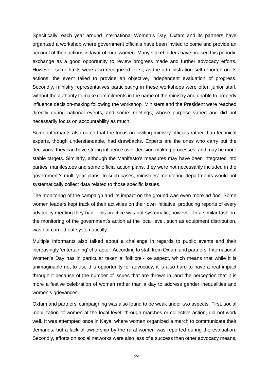Specifically, each year around International Women's Day, Oxfam and its partners have organized a workshop where government officials have been invited to come and provide an account of their actions in favor of rural women. Many stakeholders have praised this periodic exchange as a good opportunity to review progress made and further advocacy efforts. However, some limits were also recognized. First, as the administration self-reported on its actions, the event failed to provide an objective, independent evaluation of progress. Secondly, ministry representatives participating in these workshops were often junior staff, without the authority to make commitments in the name of the ministry and unable to properly influence decision-making following the workshop. Ministers and the President were reached directly during national events, and some meetings, whose purpose varied and did not necessarily focus on accountability as much.

Some informants also noted that the focus on inviting ministry officials rather than technical experts, though understandable, had drawbacks. Experts are the ones who carry out the decisions: they can have strong influence over decision-making processes, and may be more stable targets. Similarly, although the Manifesto's measures may have been integrated into parties' manifestoes and some official action plans, they were not necessarily included in the government's multi-year plans. In such cases, ministries' monitoring departments would not systematically collect data related to those specific issues.

The monitoring of the campaign and its impact on the ground was even more *ad hoc*. Some women leaders kept track of their activities on their own initiative, producing reports of every advocacy meeting they had. This practice was not systematic, however. In a similar fashion, the monitoring of the government's action at the local level, such as equipment distribution, was not carried out systematically.

Multiple informants also talked about a challenge in regards to public events and their increasingly 'entertaining' character. According to staff from Oxfam and partners, International Women's Day has in particular taken a 'folklore'-like aspect, which means that while it is unimaginable not to use this opportunity for advocacy, it is also hard to have a real impact through it because of the number of issues that are thrown in, and the perception that it is more a festive celebration of women rather than a day to address gender inequalities and women's grievances.

Oxfam and partners' campaigning was also found to be weak under two aspects. First, social mobilization of women at the local level, through marches or collective action, did not work well. It was attempted once in Kaya, where women organized a march to communicate their demands, but a lack of ownership by the rural women was reported during the evaluation. Secondly, efforts on social networks were also less of a success than other advocacy means,

24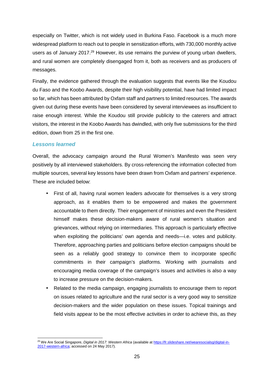especially on Twitter, which is not widely used in Burkina Faso. Facebook is a much more widespread platform to reach out to people in sensitization efforts, with 730,000 monthly active users as of January 2017.<sup>29</sup> However, its use remains the purview of young urban dwellers, and rural women are completely disengaged from it, both as receivers and as producers of messages.

Finally, the evidence gathered through the evaluation suggests that events like the Koudou du Faso and the Koobo Awards, despite their high visibility potential, have had limited impact so far, which has been attributed by Oxfam staff and partners to limited resources. The awards given out during these events have been considered by several interviewees as insufficient to raise enough interest. While the Koudou still provide publicity to the caterers and attract visitors, the interest in the Koobo Awards has dwindled, with only five submissions for the third edition, down from 25 in the first one.

# *Lessons learned*

Overall, the advocacy campaign around the Rural Women's Manifesto was seen very positively by all interviewed stakeholders. By cross-referencing the information collected from multiple sources, several key lessons have been drawn from Oxfam and partners' experience. These are included below:

- First of all, having rural women leaders advocate for themselves is a very strong approach, as it enables them to be empowered and makes the government accountable to them directly. Their engagement of ministries and even the President himself makes these decision-makers aware of rural women's situation and grievances, without relying on intermediaries. This approach is particularly effective when exploiting the politicians' own agenda and needs—i.e. votes and publicity. Therefore, approaching parties and politicians before election campaigns should be seen as a reliably good strategy to convince them to incorporate specific commitments in their campaign's platforms. Working with journalists and encouraging media coverage of the campaign's issues and activities is also a way to increase pressure on the decision-makers.
- Related to the media campaign, engaging journalists to encourage them to report on issues related to agriculture and the rural sector is a very good way to sensitize decision-makers and the wider population on these issues. Topical trainings and field visits appear to be the most effective activities in order to achieve this, as they

<sup>29</sup> We Are Social Singapore, *Digital in 2017: Western Africa* (available at https://fr.slideshare.net/wearesocialsg/digital-in- 2017-western-africa; accessed on 24 May 2017).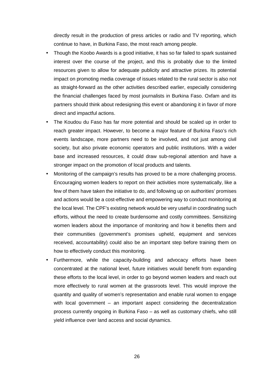directly result in the production of press articles or radio and TV reporting, which continue to have, in Burkina Faso, the most reach among people.

- Though the Koobo Awards is a good initiative, it has so far failed to spark sustained interest over the course of the project, and this is probably due to the limited resources given to allow for adequate publicity and attractive prizes. Its potential impact on promoting media coverage of issues related to the rural sector is also not as straight-forward as the other activities described earlier, especially considering the financial challenges faced by most journalists in Burkina Faso. Oxfam and its partners should think about redesigning this event or abandoning it in favor of more direct and impactful actions.
- The Koudou du Faso has far more potential and should be scaled up in order to reach greater impact. However, to become a major feature of Burkina Faso's rich events landscape, more partners need to be involved, and not just among civil society, but also private economic operators and public institutions. With a wider base and increased resources, it could draw sub-regional attention and have a stronger impact on the promotion of local products and talents.
- Monitoring of the campaign's results has proved to be a more challenging process. Encouraging women leaders to report on their activities more systematically, like a few of them have taken the initiative to do, and following up on authorities' promises and actions would be a cost-effective and empowering way to conduct monitoring at the local level. The CPF's existing network would be very useful in coordinating such efforts, without the need to create burdensome and costly committees. Sensitizing women leaders about the importance of monitoring and how it benefits them and their communities (government's promises upheld, equipment and services received, accountability) could also be an important step before training them on how to effectively conduct this monitoring.
- Furthermore, while the capacity-building and advocacy efforts have been concentrated at the national level, future initiatives would benefit from expanding these efforts to the local level, in order to go beyond women leaders and reach out more effectively to rural women at the grassroots level. This would improve the quantity and quality of women's representation and enable rural women to engage with local government – an important aspect considering the decentralization process currently ongoing in Burkina Faso – as well as customary chiefs, who still yield influence over land access and social dynamics.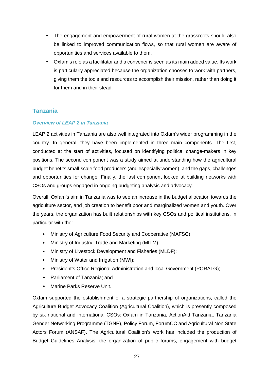- The engagement and empowerment of rural women at the grassroots should also be linked to improved communication flows, so that rural women are aware of opportunities and services available to them.
- Oxfam's role as a facilitator and a convener is seen as its main added value. Its work is particularly appreciated because the organization chooses to work with partners, giving them the tools and resources to accomplish their mission, rather than doing it for them and in their stead.

# **Tanzania**

# *Overview of LEAP 2 in Tanzania*

LEAP 2 activities in Tanzania are also well integrated into Oxfam's wider programming in the country. In general, they have been implemented in three main components. The first, conducted at the start of activities, focused on identifying political change-makers in key positions. The second component was a study aimed at understanding how the agricultural budget benefits small-scale food producers (and especially women), and the gaps, challenges and opportunities for change. Finally, the last component looked at building networks with CSOs and groups engaged in ongoing budgeting analysis and advocacy.

Overall, Oxfam's aim in Tanzania was to see an increase in the budget allocation towards the agriculture sector, and job creation to benefit poor and marginalized women and youth. Over the years, the organization has built relationships with key CSOs and political institutions, in particular with the:

- Ministry of Agriculture Food Security and Cooperative (MAFSC);
- Ministry of Industry, Trade and Marketing (MITM);
- Ministry of Livestock Development and Fisheries (MLDF);
- Ministry of Water and Irrigation (MWI);
- President's Office Regional Administration and local Government (PORALG);
- Parliament of Tanzania; and
- Marine Parks Reserve Unit.

Oxfam supported the establishment of a strategic partnership of organizations, called the Agriculture Budget Advocacy Coalition (Agricultural Coalition), which is presently composed by six national and international CSOs: Oxfam in Tanzania, ActionAid Tanzania, Tanzania Gender Networking Programme (TGNP), Policy Forum, ForumCC and Agricultural Non State Actors Forum (ANSAF). The Agricultural Coalition's work has included the production of Budget Guidelines Analysis, the organization of public forums, engagement with budget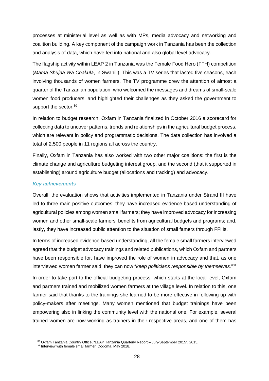processes at ministerial level as well as with MPs, media advocacy and networking and coalition building. A key component of the campaign work in Tanzania has been the collection and analysis of data, which have fed into national and also global level advocacy.

The flagship activity within LEAP 2 in Tanzania was the Female Food Hero (FFH) competition (*Mama Shujaa Wa Chakula*, in Swahili). This was a TV series that lasted five seasons, each involving thousands of women farmers. The TV programme drew the attention of almost a quarter of the Tanzanian population, who welcomed the messages and dreams of small-scale women food producers, and highlighted their challenges as they asked the government to support the sector.<sup>30</sup>

In relation to budget research, Oxfam in Tanzania finalized in October 2016 a scorecard for collecting data to uncover patterns, trends and relationships in the agricultural budget process, which are relevant in policy and programmatic decisions. The data collection has involved a total of 2,500 people in 11 regions all across the country.

Finally, Oxfam in Tanzania has also worked with two other major coalitions: the first is the climate change and agriculture budgeting interest group, and the second (that it supported in establishing) around agriculture budget (allocations and tracking) and advocacy.

# *Key achievements*

Overall, the evaluation shows that activities implemented in Tanzania under Strand III have led to three main positive outcomes: they have increased evidence-based understanding of agricultural policies among women small farmers; they have improved advocacy for increasing women and other small-scale farmers' benefits from agricultural budgets and programs; and, lastly, they have increased public attention to the situation of small famers through FFHs.

In terms of increased evidence-based understanding, all the female small farmers interviewed agreed that the budget advocacy trainings and related publications, which Oxfam and partners have been responsible for, have improved the role of women in advocacy and that, as one interviewed women farmer said, they can now "*keep politicians responsible by themselves.*"<sup>31</sup>

In order to take part to the official budgeting process, which starts at the local level, Oxfam and partners trained and mobilized women farmers at the village level. In relation to this, one farmer said that thanks to the trainings she learned to be more effective in following up with policy-makers after meetings. Many women mentioned that budget trainings have been empowering also in linking the community level with the national one. For example, several trained women are now working as trainers in their respective areas, and one of them has

<sup>30</sup> Oxfam Tanzania Country Office, "LEAP Tanzania Quarterly Report – July-September 2015", 2015.

<sup>&</sup>lt;sup>31</sup> Interview with female small farmer, Dodoma, May 2018.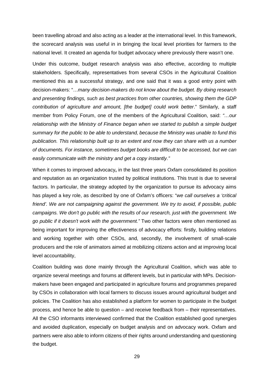been travelling abroad and also acting as a leader at the international level. In this framework, the scorecard analysis was useful in in bringing the local level priorities for farmers to the national level. It created an agenda for budget advocacy where previously there wasn't one.

Under this outcome, budget research analysis was also effective, according to multiple stakeholders. Specifically, representatives from several CSOs in the Agricultural Coalition mentioned this as a successful strategy, and one said that it was a good entry point with decision-makers: "…*many decision-makers do not know about the budget. By doing research and presenting findings, such as best practices from other countries, showing them the GDP contribution of agriculture and amount, [the budget] could work better*." Similarly, a staff member from Policy Forum, one of the members of the Agricultural Coalition, said: *"…our relationship with the Ministry of Finance began when we started to publish a simple budget summary for the public to be able to understand, because the Ministry was unable to fund this publication. This relationship built up to an extent and now they can share with us a number of documents. For instance, sometimes budget books are difficult to be accessed, but we can easily communicate with the ministry and get a copy instantly."*

When it comes to improved advocacy**,** in the last three years Oxfam consolidated its position and reputation as an organization trusted by political institutions. This trust is due to several factors. In particular, the strategy adopted by the organization to pursue its advocacy aims has played a key role, as described by one of Oxfam's officers: "*we call ourselves a 'critical friend'. We are not campaigning against the government. We try to avoid, if possible, public campaigns. We don't go public with the results of our research, just with the government. We go public if it doesn't work with the government."* Two other factors were often mentioned as being important for improving the effectiveness of advocacy efforts: firstly, building relations and working together with other CSOs, and, secondly, the involvement of small-scale producers and the role of animators aimed at mobilizing citizens action and at improving local level accountability,

Coalition building was done mainly through the Agricultural Coalition, which was able to organize several meetings and forums at different levels, but in particular with MPs. Decision makers have been engaged and participated in agriculture forums and programmes prepared by CSOs in collaboration with local farmers to discuss issues around agricultural budget and policies. The Coalition has also established a platform for women to participate in the budget process, and hence be able to question – and receive feedback from – their representatives. All the CSO informants interviewed confirmed that the Coalition established good synergies and avoided duplication, especially on budget analysis and on advocacy work. Oxfam and partners were also able to inform citizens of their rights around understanding and questioning the budget.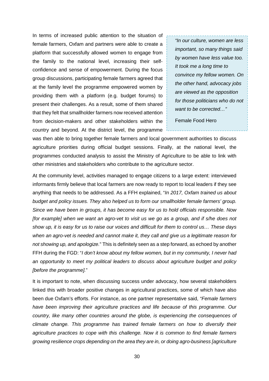In terms of increased public attention to the situation of female farmers, Oxfam and partners were able to create a platform that successfully allowed women to engage from the family to the national level, increasing their self confidence and sense of empowerment. During the focus group discussions, participating female farmers agreed that at the family level the programme empowered women by providing them with a platform (e.g. budget forums) to present their challenges. As a result, some of them shared that they felt that smallholder farmers now received attention from decision-makers and other stakeholders within the country and beyond. At the district level, the programme

*"In our culture, women are less important, so many things said by women have less value too. It took me a long time to convince my fellow women. On the other hand, advocacy jobs are viewed as the opposition for those politicians who do not want to be corrected…"*

Female Food Hero

was then able to bring together female farmers and local government authorities to discuss agriculture priorities during official budget sessions. Finally, at the national level, the programmes conducted analysis to assist the Ministry of Agriculture to be able to link with other ministries and stakeholders who contribute to the agriculture sector.

At the community level, activities managed to engage citizens to a large extent: interviewed informants firmly believe that local farmers are now ready to report to local leaders if they see anything that needs to be addressed. As a FFH explained, "*In 2017, Oxfam trained us about budget and policy issues. They also helped us to form our smallholder female farmers' group. Since we have been in groups, it has become easy for us to hold officials responsible. Now [for example] when we want an agro-vet to visit us we go as a group, and if s/he does not show up, it is easy for us to raise our voices and difficult for them to control us… These days when an agro-vet is needed and cannot make it, they call and give us a legitimate reason for not showing up, and apologize.*" This is definitely seen as a step forward, as echoed by another FFH during the FGD: "*I don't know about my fellow women, but in my community, I never had an opportunity to meet my political leaders to discuss about agriculture budget and policy [before the programme].*"

It is important to note, when discussing success under advocacy, how several stakeholders linked this with broader positive changes in agricultural practices, some of which have also been due Oxfam's efforts. For instance, as one partner representative said, *"Female farmers have been improving their agriculture practices and life because of this programme. Our country, like many other countries around the globe, is experiencing the consequences of climate change. This programme has trained female farmers on how to diversify their agriculture practices to cope with this challenge. Now it is common to find female farmers growing resilience crops depending on the area they are in, or doing agro-business [agriculture*

30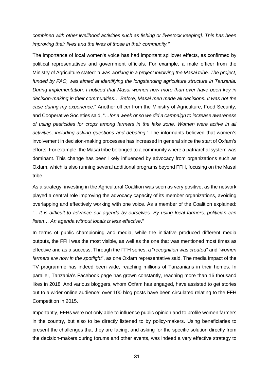*combined with other livelihood activities such as fishing or livestock keeping]. This has been improving their lives and the lives of those in their community."*

The importance of local women's voice has had important spillover effects, as confirmed by political representatives and government officials. For example, a male officer from the Ministry of Agriculture stated: *"I was working in a project involving the Masai tribe. The project, funded by FAO, was aimed at identifying the longstanding agriculture structure in Tanzania. During implementation, I noticed that Masai women now more than ever have been key in decision-making in their communities… Before, Masai men made all decisions. It was not the case during my experience*." Another officer from the Ministry of Agriculture, Food Security, and Cooperative Societies said, "…*for a week or so we did a campaign to increase awareness of using pesticides for crops among farmers in the lake zone. Women were active in all activities, including asking questions and debating.*" The informants believed that women's involvement in decision-making processes has increased in general since the start of Oxfam's efforts. For example, the Masai tribe belonged to a community where a patriarchal system was dominant. This change has been likely influenced by advocacy from organizations such as Oxfam, which is also running several additional programs beyond FFH, focusing on the Masai tribe.

As a strategy, investing in the Agricultural Coalition was seen as very positive, as the network played a central role improving the advocacy capacity of its member organizations, avoiding overlapping and effectively working with one voice. As a member of the Coalition explained: *"…It is difficult to advance our agenda by ourselves. By using local farmers, politician can listen… An agenda without locals is less effective*."

In terms of public championing and media, while the initiative produced different media outputs, the FFH was the most visible, as well as the one that was mentioned most times as effective and as a success. Through the FFH series, a "*recognition was created*" and "*women farmers are now in the spotlight*", as one Oxfam representative said. The media impact of the TV programme has indeed been wide, reaching millions of Tanzanians in their homes. In parallel, Tanzania's Facebook page has grown constantly, reaching more than 16 thousand likes in 2018. And various bloggers, whom Oxfam has engaged, have assisted to get stories out to a wider online audience: over 100 blog posts have been circulated relating to the FFH Competition in 2015.

Importantly, FFHs were not only able to influence public opinion and to profile women farmers in the country, but also to be directly listened to by policy-makers. Using beneficiaries to present the challenges that they are facing, and asking for the specific solution directly from the decision-makers during forums and other events, was indeed a very effective strategy to

31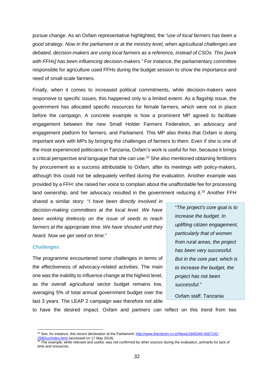pursue change. As an Oxfam representative highlighted, the *"use of local farmers has been a good strategy. Now in the parliament or at the ministry level, when agricultural challenges are debated, decision-makers are using local farmers as a reference, instead of CSOs. This [work with FFHs] has been influencing decision-makers."* For instance, the parliamentary committee responsible for agriculture used FFHs during the budget session to show the importance and need of small-scale farmers.

Finally, when it comes to increased political commitments, while decision-makers were responsive to specific issues, this happened only to a limited extent. As a flagship issue, the government has allocated specific resources for female farmers, which were not in place before the campaign. A concrete example is how a prominent MP agreed to facilitate engagement between the new Small Holder Farmers Federation, an advocacy and engagement platform for farmers, and Parliament. This MP also thinks that Oxfam is doing important work with MPs by bringing the challenges of farmers to them. Even if she is one of the most experienced politicians in Tanzania, Oxfam's work is useful for her, because it brings a critical perspective and language that she can use.<sup>32</sup> She also mentioned obtaining fertilizers by procurement as a success attributable to Oxfam, after its meetings with policy-makers, although this could not be adequately verified during the evaluation. Another example was provided by a FFH: she raised her voice to complain about the unaffordable fee for processing land ownership, and her advocacy resulted in the government reducing it.<sup>33</sup> Another FFH

shared a similar story: "*I have been directly involved in decision-making committees at the local level. We have been working tirelessly on the issue of seeds to reach farmers at the appropriate time. We have shouted until they heard. Now we get seed on time.*"

### *Challenges*

The programme encountered some challenges in terms of the effectiveness of advocacy-related activities. The main one was the inability to influence change at the highest level, as the overall agricultural sector budget remains low, averaging 5% of total annual government budget over the last 3 years. The LEAP 2 campaign was therefore not able

"*The project's core goal is to increase the budget. In uplifting citizen engagement, particularly that of women from rural areas, the project has been very successful. But in the core part, which is to increase the budget, the project has not been successful."*

Oxfam staff, Tanzania

to have the desired impact. Oxfam and partners can reflect on this trend from two

<sup>32</sup> See, for instance, this recent declaration at the Parliament: <http://www.thecitizen.co.tz/News/1840340-4567142-> 25l82uz/index.html (accessed on 17 May 2018).

 $33$  The example, while relevant and useful, was not confirmed by other sources during the evaluation, primarily for lack of time and resources.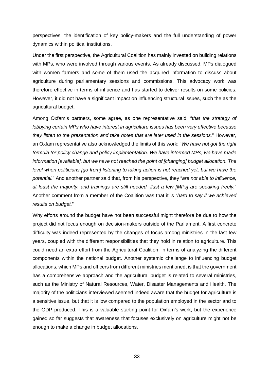perspectives: the identification of key policy-makers and the full understanding of power dynamics within political institutions.

Under the first perspective, the Agricultural Coalition has mainly invested on building relations with MPs, who were involved through various events. As already discussed, MPs dialogued with women farmers and some of them used the acquired information to discuss about agriculture during parliamentary sessions and commissions. This advocacy work was therefore effective in terms of influence and has started to deliver results on some policies. However, it did not have a significant impact on influencing structural issues, such the as the agricultural budget.

Among Oxfam's partners, some agree, as one representative said, "*that the strategy of lobbying certain MPs who have interest in agriculture issues has been very effective because they listen to the presentation and take notes that are later used in the sessions.*" However, an Oxfam representative also acknowledged the limits of this work: "*We have not got the right formula for policy change and policy implementation. We have informed MPs, we have made information [available], but we have not reached the point of [changing] budget allocation. The level when politicians [go from] listening to taking action is not reached yet, but we have the potential.*" And another partner said that, from his perspective, they "*are not able to influence, at least the majority, and trainings are still needed. Just a few [MPs] are speaking freely.*" Another comment from a member of the Coalition was that it is "*hard to say if we achieved results on budget.*"

Why efforts around the budget have not been successful might therefore be due to how the project did not focus enough on decision-makers outside of the Parliament. A first concrete difficulty was indeed represented by the changes of focus among ministries in the last few years, coupled with the different responsibilities that they hold in relation to agriculture. This could need an extra effort from the Agricultural Coalition, in terms of analyzing the different components within the national budget. Another systemic challenge to influencing budget allocations, which MPs and officers from different ministries mentioned, is that the government has a comprehensive approach and the agricultural budget is related to several ministries, such as the Ministry of Natural Resources, Water, Disaster Managements and Health. The majority of the politicians interviewed seemed indeed aware that the budget for agriculture is a sensitive issue, but that it is low compared to the population employed in the sector and to the GDP produced. This is a valuable starting point for Oxfam's work, but the experience gained so far suggests that awareness that focuses exclusively on agriculture might not be enough to make a change in budget allocations.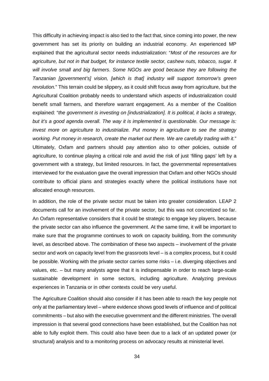This difficulty in achieving impact is also tied to the fact that, since coming into power, the new government has set its priority on building an industrial economy. An experienced MP explained that the agricultural sector needs industrialization: "*Most of the resources are for agriculture, but not in that budget, for instance textile sector, cashew nuts, tobacco, sugar. It will involve small and big farmers*. *Some NGOs are good because they are following the Tanzanian [government's] vision, [which is that] industry will support tomorrow's green revolution.*" This terrain could be slippery, as it could shift focus away from agriculture, but the Agricultural Coalition probably needs to understand which aspects of industrialization could benefit small farmers, and therefore warrant engagement. As a member of the Coalition explained: "*the government is investing on [industrialization]. It is political, it lacks a strategy, but it's a good agenda overall. The way it is implemented is questionable. Our message is: invest more on agriculture to industrialize. Put money in agriculture to see the strategy working. Put money in research, create the market out there. We are carefully trading with it.*" Ultimately, Oxfam and partners should pay attention also to other policies, outside of agriculture, to continue playing a critical role and avoid the risk of just 'filling gaps' left by a government with a strategy, but limited resources. In fact, the governmental representatives interviewed for the evaluation gave the overall impression that Oxfam and other NGOs should contribute to official plans and strategies exactly where the political institutions have not allocated enough resources.

In addition, the role of the private sector must be taken into greater consideration. LEAP 2 documents call for an involvement of the private sector, but this was not concretized so far. An Oxfam representative considers that it could be strategic to engage key players, because the private sector can also influence the government. At the same time, it will be important to make sure that the programme continues to work on capacity building, from the community level, as described above. The combination of these two aspects – involvement of the private sector and work on capacity level from the grassroots level – is a complex process, but it could be possible. Working with the private sector carries some risks – i.e. diverging objectives and values, etc. – but many analysts agree that it is indispensable in order to reach large-scale sustainable development in some sectors, including agriculture. Analyzing previous experiences in Tanzania or in other contexts could be very useful.

The Agriculture Coalition should also consider if it has been able to reach the key people not only at the parliamentary level – where evidence shows good levels of influence and of political commitments – but also with the executive government and the different ministries. The overall impression is that several good connections have been established, but the Coalition has not able to fully exploit them. This could also have been due to a lack of an updated power (or structural) analysis and to a monitoring process on advocacy results at ministerial level.

34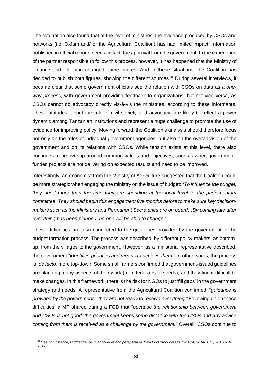The evaluation also found that at the level of ministries, the evidence produced by CSOs and networks (i.e. Oxfam and/ or the Agricultural Coalition) has had limited impact. Information published in official reports needs, in fact, the approval from the government. In the experience of the partner responsible to follow this process, however, it has happened that the Ministry of Finance and Planning changed some figures. And in these situations, the Coalition has decided to publish both figures, showing the different sources.<sup>34</sup> During several interviews, it became clear that some government officials see the relation with CSOs on data as *a one way process*, with government providing feedback to organizations, but not vice versa, as CSOs cannot do advocacy directly vis-à-vis the ministries, according to these informants. These attitudes, about the role of civil society and advocacy, are likely to reflect a power dynamic among Tanzanian institutions and represent a huge challenge to promote the use of evidence for improving policy. Moving forward, the Coalition's analysis should therefore focus not only on the roles of individual government agencies, but also on the overall vision of the government and on its relations with CSOs. While tension exists at this level, there also continues to be overlap around common values and objectives, such as when governmentfunded projects are not delivering on expected results and need to be improved.

Interestingly, an economist from the Ministry of Agriculture suggested that the Coalition could be more strategic when engaging the ministry on the issue of budget: "*To influence the budget, they need more than the time they are spending at the local level to the parliamentary committee. They should begin this engagement five months before to make sure key decision makers such as the Ministers and Permanent Secretaries are on board…By coming late after everything has been planned, no one will be able to change*."

These difficulties are also connected to the guidelines provided by the government in the budget formation process. The process was described, by different policy-makers, as bottom up, from the villages to the government. However, as a ministerial representative described, the government "*identifies priorities and means to achieve them.*" In other words, the process is, *de facto*, more top-down. Some small farmers confirmed that government-issued guidelines are planning many aspects of their work (from fertilizers to seeds), and they find it difficult to make changes. In this framework, there is the risk for NGOs to just 'fill gaps' in the government strategy and needs. A representative from the Agricultural Coalition confirmed, "*guidance is provided by the government…they are not ready to receive everything."* Following up on these difficulties, a MP shared during a FGD that "*because the relationship between government and CSOs is not good, the government keeps some distance with the CSOs and any advice coming from them is received as a challenge by the government."* Overall, CSOs continue to

<sup>34</sup> See, for instance, *Budget trends in agriculture and perspectives from food producers 2013/2014, 2014/2015, 2015/2016*, 2017.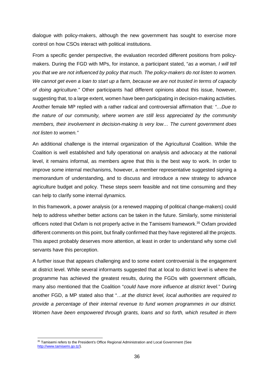dialogue with policy-makers, although the new government has sought to exercise more control on how CSOs interact with political institutions.

From a specific gender perspective, the evaluation recorded different positions from policy makers. During the FGD with MPs, for instance, a participant stated, "*as a woman, I will tell you that we are not influenced by policy that much. The policy-makers do not listen to women. We cannot get even a loan to start up a farm, because we are not trusted in terms of capacity of doing agriculture."* Other participants had different opinions about this issue, however, suggesting that, to a large extent, women have been participating in decision-making activities. Another female MP replied with a rather radical and controversial affirmation that*: "…Due to the nature of our community, where women are still less appreciated by the community members, their involvement in decision-making is very low… The current government does not listen to women."*

An additional challenge is the internal organization of the Agricultural Coalition. While the Coalition is well established and fully operational on analysis and advocacy at the national level, it remains informal, as members agree that this is the best way to work. In order to improve some internal mechanisms, however, a member representative suggested signing a memorandum of understanding, and to discuss and introduce a new strategy to advance agriculture budget and policy. These steps seem feasible and not time consuming and they can help to clarify some internal dynamics.

In this framework, a power analysis (or a renewed mapping of political change-makers) could help to address whether better actions can be taken in the future. Similarly, some ministerial officers noted that Oxfam is not properly active in the Tamisemi framework.<sup>35</sup> Oxfam provided different comments on this point, but finally confirmed that they have registered all the projects. This aspect probably deserves more attention, at least in order to understand why some civil servants have this perception.

A further issue that appears challenging and to some extent controversial is the engagement at district level. While several informants suggested that at local to district level is where the programme has achieved the greatest results, during the FGDs with government officials, many also mentioned that the Coalition "*could have more influence at district level.*" During another FGD, a MP stated also that "…*at the district level, local authorities are required to provide a percentage of their internal revenue to fund women programmes in our district. Women have been empowered through grants, loans and so forth, which resulted in them*

<sup>&</sup>lt;sup>35</sup> Tamisemi refers to the President's Office Regional Administration and Local Government (See http://www.tamisemi.go.tz/).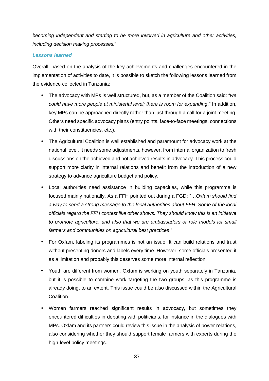*becoming independent and starting to be more involved in agriculture and other activities, including decision making processes.*"

## *Lessons learned*

Overall, based on the analysis of the key achievements and challenges encountered in the implementation of activities to date, it is possible to sketch the following lessons learned from the evidence collected in Tanzania:

- The advocacy with MPs is well structured, but, as a member of the Coalition said: "*we could have more people at ministerial level; there is room for expanding*." In addition, key MPs can be approached directly rather than just through a call for a joint meeting. Others need specific advocacy plans (entry points, face-to-face meetings, connections with their constituencies, etc.).
- The Agricultural Coalition is well established and paramount for advocacy work at the national level. It needs some adjustments, however, from internal organization to fresh discussions on the achieved and not achieved results in advocacy. This process could support more clarity in internal relations and benefit from the introduction of a new strategy to advance agriculture budget and policy.
- Local authorities need assistance in building capacities, while this programme is focused mainly nationally. As a FFH pointed out during a FGD: "…*Oxfam should find a way to send a strong message to the local authorities about FFH. Some of the local officials regard the FFH contest like other shows. They should know this is an initiative to promote agriculture, and also thatwe are ambassadors or role models for small farmers and communities on agricultural best practices*."
- For Oxfam, labeling its programmes is not an issue. It can build relations and trust without presenting donors and labels every time. However, some officials presented it as a limitation and probably this deserves some more internal reflection.
- Youth are different from women. Oxfam is working on youth separately in Tanzania, but it is possible to combine work targeting the two groups, as this programme is already doing, to an extent. This issue could be also discussed within the Agricultural Coalition.
- Women farmers reached significant results in advocacy, but sometimes they encountered difficulties in debating with politicians, for instance in the dialogues with MPs. Oxfam and its partners could review this issue in the analysis of power relations, also considering whether they should support female farmers with experts during the high-level policy meetings.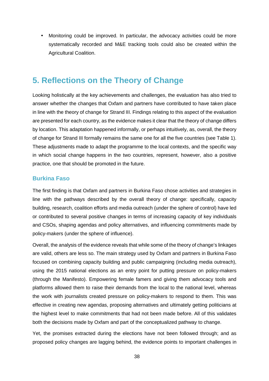• Monitoring could be improved. In particular, the advocacy activities could be more systematically recorded and M&E tracking tools could also be created within the Agricultural Coalition.

# **5. Reflections on the Theory of Change**

Looking holistically at the key achievements and challenges, the evaluation has also tried to answer whether the changes that Oxfam and partners have contributed to have taken place in line with the theory of change for Strand III. Findings relating to this aspect of the evaluation are presented for each country, as the evidence makes it clear that the theory of change differs by location. This adaptation happened informally, or perhaps intuitively, as, overall, the theory of change for Strand III formally remains the same one for all the five countries (see Table 1). These adjustments made to adapt the programme to the local contexts, and the specific way in which social change happens in the two countries, represent, however, also a positive practice, one that should be promoted in the future.

# **Burkina Faso**

The first finding is that Oxfam and partners in Burkina Faso chose activities and strategies in line with the pathways described by the overall theory of change: specifically, capacity building, research, coalition efforts and media outreach (under the sphere of control) have led or contributed to several positive changes in terms of increasing capacity of key individuals and CSOs, shaping agendas and policy alternatives, and influencing commitments made by policy-makers (under the sphere of influence).

Overall, the analysis of the evidence reveals that while some of the theory of change's linkages are valid, others are less so. The main strategy used by Oxfam and partners in Burkina Faso focused on combining capacity building and public campaigning (including media outreach), using the 2015 national elections as an entry point for putting pressure on policy-makers (through the Manifesto). Empowering female famers and giving them advocacy tools and platforms allowed them to raise their demands from the local to the national level, whereas the work with journalists created pressure on policy-makers to respond to them. This was effective in creating new agendas, proposing alternatives and ultimately getting politicians at the highest level to make commitments that had not been made before. All of this validates both the decisions made by Oxfam and part of the conceptualized pathway to change.

Yet, the promises extracted during the elections have not been followed through; and as proposed policy changes are lagging behind, the evidence points to important challenges in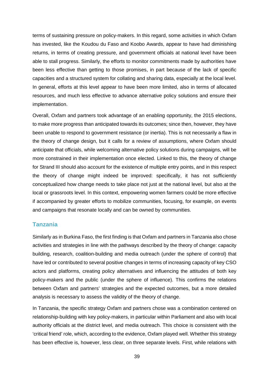terms of sustaining pressure on policy-makers. In this regard, some activities in which Oxfam has invested, like the Koudou du Faso and Koobo Awards, appear to have had diminishing returns, in terms of creating pressure, and government officials at national level have been able to stall progress. Similarly, the efforts to monitor commitments made by authorities have been less effective than getting to those promises, in part because of the lack of specific capacities and a structured system for collating and sharing data, especially at the local level. In general, efforts at this level appear to have been more limited, also in terms of allocated resources, and much less effective to advance alternative policy solutions and ensure their implementation.

Overall, Oxfam and partners took advantage of an enabling opportunity, the 2015 elections, to make more progress than anticipated towards its outcomes; since then, however, they have been unable to respond to government resistance (or inertia). This is not necessarily a flaw in the theory of change design, but it calls for a review of assumptions, where Oxfam should anticipate that officials, while welcoming alternative policy solutions during campaigns, will be more constrained in their implementation once elected. Linked to this, the theory of change for Strand III should also account for the existence of multiple entry points, and in this respect the theory of change might indeed be improved: specifically, it has not sufficiently conceptualized how change needs to take place not just at the national level, but also at the local or grassroots level. In this context, empowering women farmers could be more effective if accompanied by greater efforts to mobilize communities, focusing, for example, on events and campaigns that resonate locally and can be owned by communities.

### **Tanzania**

Similarly as in Burkina Faso, the first finding is that Oxfam and partners in Tanzania also chose activities and strategies in line with the pathways described by the theory of change: capacity building, research, coalition-building and media outreach (under the sphere of control) that have led or contributed to several positive changes in terms of increasing capacity of key CSO actors and platforms, creating policy alternatives and influencing the attitudes of both key policy-makers and the public (under the sphere of influence). This confirms the relations between Oxfam and partners' strategies and the expected outcomes, but a more detailed analysis is necessary to assess the validity of the theory of change.

In Tanzania, the specific strategy Oxfam and partners chose was a combination centered on relationship-building with key policy-makers, in particular within Parliament and also with local authority officials at the district level, and media outreach. This choice is consistent with the 'critical friend' role, which, according to the evidence, Oxfam played well. Whether this strategy has been effective is, however, less clear, on three separate levels. First, while relations with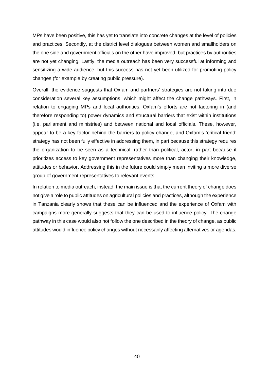MPs have been positive, this has yet to translate into concrete changes at the level of policies and practices. Secondly, at the district level dialogues between women and smallholders on the one side and government officials on the other have improved, but practices by authorities are not yet changing. Lastly, the media outreach has been very successful at informing and sensitizing a wide audience, but this success has not yet been utilized for promoting policy changes (for example by creating public pressure).

Overall, the evidence suggests that Oxfam and partners' strategies are not taking into due consideration several key assumptions, which might affect the change pathways. First, in relation to engaging MPs and local authorities, Oxfam's efforts are not factoring in (and therefore responding to) power dynamics and structural barriers that exist within institutions (i.e. parliament and ministries) and between national and local officials. These, however, appear to be a key factor behind the barriers to policy change, and Oxfam's 'critical friend' strategy has not been fully effective in addressing them, in part because this strategy requires the organization to be seen as a technical, rather than political, actor, in part because it prioritizes access to key government representatives more than changing their knowledge, attitudes or behavior. Addressing this in the future could simply mean inviting a more diverse group of government representatives to relevant events.

In relation to media outreach, instead, the main issue is that the current theory of change does not give a role to public attitudes on agricultural policies and practices, although the experience in Tanzania clearly shows that these can be influenced and the experience of Oxfam with campaigns more generally suggests that they can be used to influence policy. The change pathway in this case would also not follow the one described in the theory of change, as public attitudes would influence policy changes without necessarily affecting alternatives or agendas.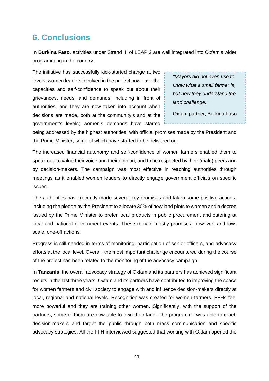# **6. Conclusions**

In **Burkina Faso**, activities under Strand III of LEAP 2 are well integrated into Oxfam's wider programming in the country.

The initiative has successfully kick-started change at two levels: women leaders involved in the project now have the capacities and self-confidence to speak out about their grievances, needs, and demands, including in front of authorities, and they are now taken into account when decisions are made, both at the community's and at the government's levels; women's demands have started

*"Mayors did not even use to know what a small farmer is, but now they understand the land challenge."*

Oxfam partner, Burkina Faso

being addressed by the highest authorities, with official promises made by the President and the Prime Minister, some of which have started to be delivered on.

The increased financial autonomy and self-confidence of women farmers enabled them to speak out, to value their voice and their opinion, and to be respected by their (male) peers and by decision-makers. The campaign was most effective in reaching authorities through meetings as it enabled women leaders to directly engage government officials on specific issues.

The authorities have recently made several key promises and taken some positive actions, including the pledge by the President to allocate 30% of new land plots to women and a decree issued by the Prime Minister to prefer local products in public procurement and catering at local and national government events. These remain mostly promises, however, and low scale, one-off actions.

Progress is still needed in terms of monitoring, participation of senior officers, and advocacy efforts at the local level. Overall, the most important challenge encountered during the course of the project has been related to the monitoring of the advocacy campaign.

In **Tanzania**, the overall advocacy strategy of Oxfam and its partners has achieved significant results in the last three years. Oxfam and its partners have contributed to improving the space for women farmers and civil society to engage with and influence decision-makers directly at local, regional and national levels. Recognition was created for women farmers. FFHs feel more powerful and they are training other women. Significantly, with the support of the partners, some of them are now able to own their land. The programme was able to reach decision-makers and target the public through both mass communication and specific advocacy strategies. All the FFH interviewed suggested that working with Oxfam opened the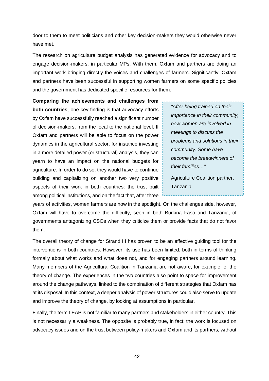door to them to meet politicians and other key decision-makers they would otherwise never have met.

The research on agriculture budget analysis has generated evidence for advocacy and to engage decision-makers, in particular MPs. With them, Oxfam and partners are doing an important work bringing directly the voices and challenges of farmers. Significantly, Oxfam and partners have been successful in supporting women farmers on some specific policies and the government has dedicated specific resources for them.

**Comparing the achievements and challenges from both countries**, one key finding is that advocacy efforts by Oxfam have successfully reached a significant number of decision-makers, from the local to the national level. If Oxfam and partners will be able to focus on the power dynamics in the agricultural sector, for instance investing in a more detailed power (or structural) analysis, they can yearn to have an impact on the national budgets for agriculture. In order to do so, they would have to continue building and capitalizing on another two very positive aspects of their work in both countries: the trust built among political institutions, and on the fact that, after three

*"After being trained on their importance in their community, now women are involved in meetings to discuss the problems and solutions in their community. Some have become the breadwinners of their families…"*

Agriculture Coalition partner, Tanzania

years of activities, women farmers are now in the spotlight. On the challenges side, however, Oxfam will have to overcome the difficulty, seen in both Burkina Faso and Tanzania, of governments antagonizing CSOs when they criticize them or provide facts that do not favor them.

The overall theory of change for Strand III has proven to be an effective guiding tool for the interventions in both countries. However, its use has been limited, both in terms of thinking formally about what works and what does not, and for engaging partners around learning. Many members of the Agricultural Coalition in Tanzania are not aware, for example, of the theory of change. The experiences in the two countries also point to space for improvement around the change pathways, linked to the combination of different strategies that Oxfam has at its disposal. In this context, a deeper analysis of power structures could also serve to update and improve the theory of change, by looking at assumptions in particular.

Finally, the term LEAP is not familiar to many partners and stakeholders in either country. This is not necessarily a weakness. The opposite is probably true, in fact: the work is focused on advocacy issues and on the trust between policy-makers and Oxfam and its partners, without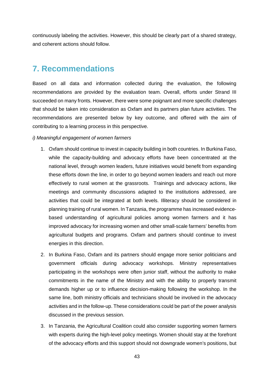continuously labeling the activities. However, this should be clearly part of a shared strategy, and coherent actions should follow.

# **7. Recommendations**

Based on all data and information collected during the evaluation, the following recommendations are provided by the evaluation team. Overall, efforts under Strand III succeeded on many fronts. However, there were some poignant and more specific challenges that should be taken into consideration as Oxfam and its partners plan future activities. The recommendations are presented below by key outcome, and offered with the aim of contributing to a learning process in this perspective.

### *i) Meaningful engagement of women farmers*

- 1. Oxfam should continue to invest in capacity building in both countries. In Burkina Faso, while the capacity-building and advocacy efforts have been concentrated at the national level, through women leaders, future initiatives would benefit from expanding these efforts down the line, in order to go beyond women leaders and reach out more effectively to rural women at the grassroots. Trainings and advocacy actions, like meetings and community discussions adapted to the institutions addressed, are activities that could be integrated at both levels. Illiteracy should be considered in planning training of rural women. In Tanzania, the programme has increased evidence based understanding of agricultural policies among women farmers and it has improved advocacy for increasing women and other small-scale farmers' benefits from agricultural budgets and programs. Oxfam and partners should continue to invest energies in this direction.
- 2. In Burkina Faso, Oxfam and its partners should engage more senior politicians and government officials during advocacy workshops. Ministry representatives participating in the workshops were often junior staff, without the authority to make commitments in the name of the Ministry and with the ability to properly transmit demands higher up or to influence decision-making following the workshop. In the same line, both ministry officials and technicians should be involved in the advocacy activities and in the follow-up. These considerations could be part of the power analysis discussed in the previous session.
- 3. In Tanzania, the Agricultural Coalition could also consider supporting women farmers with experts during the high-level policy meetings. Women should stay at the forefront of the advocacy efforts and this support should not downgrade women's positions, but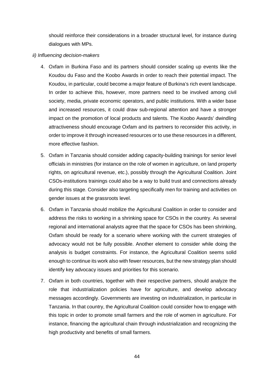should reinforce their considerations in a broader structural level, for instance during dialogues with MPs.

### *ii) Influencing decision-makers*

- 4. Oxfam in Burkina Faso and its partners should consider scaling up events like the Koudou du Faso and the Koobo Awards in order to reach their potential impact. The Koudou, in particular, could become a major feature of Burkina's rich event landscape. In order to achieve this, however, more partners need to be involved among civil society, media, private economic operators, and public institutions. With a wider base and increased resources, it could draw sub-regional attention and have a stronger impact on the promotion of local products and talents. The Koobo Awards' dwindling attractiveness should encourage Oxfam and its partners to reconsider this activity, in order to improve it through increased resources or to use these resources in a different, more effective fashion.
- 5. Oxfam in Tanzania should consider adding capacity-building trainings for senior level officials in ministries (for instance on the role of women in agriculture, on land property rights, on agricultural revenue, etc.), possibly through the Agricultural Coalition. Joint CSOs-institutions trainings could also be a way to build trust and connections already during this stage. Consider also targeting specifically men for training and activities on gender issues at the grassroots level.
- 6. Oxfam in Tanzania should mobilize the Agricultural Coalition in order to consider and address the risks to working in a shrinking space for CSOs in the country. As several regional and international analysts agree that the space for CSOs has been shrinking, Oxfam should be ready for a scenario where working with the current strategies of advocacy would not be fully possible. Another element to consider while doing the analysis is budget constraints. For instance, the Agricultural Coalition seems solid enough to continue its work also with fewer resources, but the new strategy plan should identify key advocacy issues and priorities for this scenario.
- 7. Oxfam in both countries, together with their respective partners, should analyze the role that industrialization policies have for agriculture, and develop advocacy messages accordingly. Governments are investing on industrialization, in particular in Tanzania. In that country, the Agricultural Coalition could consider how to engage with this topic in order to promote small farmers and the role of women in agriculture. For instance, financing the agricultural chain through industrialization and recognizing the high productivity and benefits of small farmers.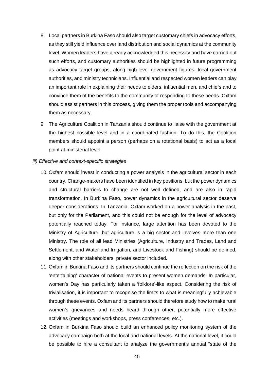- 8. Local partners in Burkina Faso should also target customary chiefs in advocacy efforts, as they still yield influence over land distribution and social dynamics at the community level. Women leaders have already acknowledged this necessity and have carried out such efforts, and customary authorities should be highlighted in future programming as advocacy target groups, along high-level government figures, local government authorities, and ministry technicians. Influential and respected women leaders can play an important role in explaining their needs to elders, influential men, and chiefs and to convince them of the benefits to the community of responding to these needs. Oxfam should assist partners in this process, giving them the proper tools and accompanying them as necessary.
- 9. The Agriculture Coalition in Tanzania should continue to liaise with the government at the highest possible level and in a coordinated fashion. To do this, the Coalition members should appoint a person (perhaps on a rotational basis) to act as a focal point at ministerial level.

#### *iii) Effective and context-specific strategies*

- 10. Oxfam should invest in conducting a power analysis in the agricultural sector in each country. Change-makers have been identified in key positions, but the power dynamics and structural barriers to change are not well defined, and are also in rapid transformation. In Burkina Faso, power dynamics in the agricultural sector deserve deeper considerations. In Tanzania, Oxfam worked on a power analysis in the past, but only for the Parliament, and this could not be enough for the level of advocacy potentially reached today. For instance, large attention has been devoted to the Ministry of Agriculture, but agriculture is a big sector and involves more than one Ministry. The role of all lead Ministries (Agriculture, Industry and Trades, Land and Settlement, and Water and Irrigation, and Livestock and Fishing) should be defined, along with other stakeholders, private sector included.
- 11. Oxfam in Burkina Faso and its partners should continue the reflection on the risk of the 'entertaining' character of national events to present women demands. In particular, women's Day has particularly taken a 'folklore'-like aspect. Considering the risk of trivialisation, it is important to recognise the limits to what is meaningfully achievable through these events. Oxfam and its partners should therefore study how to make rural women's grievances and needs heard through other, potentially more effective activities (meetings and workshops, press conferences, etc.).
- 12. Oxfam in Burkina Faso should build an enhanced policy monitoring system of the advocacy campaign both at the local and national levels. At the national level, it could be possible to hire a consultant to analyze the government's annual "state of the